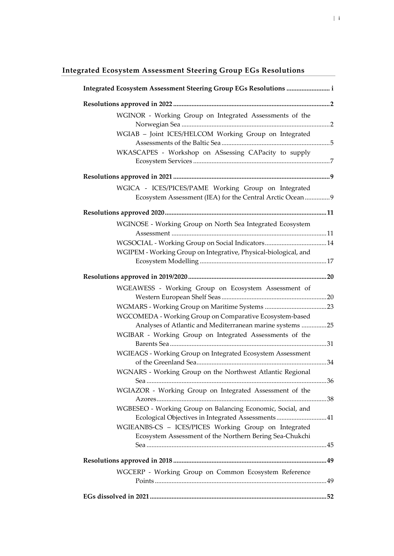# <span id="page-0-0"></span>**Integrated Ecosystem Assessment Steering Group EGs Resolutions**

| Integrated Ecosystem Assessment Steering Group EGs Resolutions  i                                                |  |
|------------------------------------------------------------------------------------------------------------------|--|
|                                                                                                                  |  |
| WGINOR - Working Group on Integrated Assessments of the                                                          |  |
| WGIAB - Joint ICES/HELCOM Working Group on Integrated                                                            |  |
| WKASCAPES - Workshop on ASsessing CAPacity to supply                                                             |  |
|                                                                                                                  |  |
| WGICA - ICES/PICES/PAME Working Group on Integrated<br>Ecosystem Assessment (IEA) for the Central Arctic Ocean 9 |  |
|                                                                                                                  |  |
| WGINOSE - Working Group on North Sea Integrated Ecosystem                                                        |  |
|                                                                                                                  |  |
|                                                                                                                  |  |
| WGIPEM - Working Group on Integrative, Physical-biological, and                                                  |  |
|                                                                                                                  |  |
|                                                                                                                  |  |
| WGEAWESS - Working Group on Ecosystem Assessment of                                                              |  |
|                                                                                                                  |  |
| WGCOMEDA - Working Group on Comparative Ecosystem-based                                                          |  |
| Analyses of Atlantic and Mediterranean marine systems 25                                                         |  |
| WGIBAR - Working Group on Integrated Assessments of the                                                          |  |
| WGIEAGS - Working Group on Integrated Ecosystem Assessment                                                       |  |
| WGNARS - Working Group on the Northwest Atlantic Regional                                                        |  |
| WGIAZOR - Working Group on Integrated Assessment of the                                                          |  |
| WGBESEO - Working Group on Balancing Economic, Social, and<br>Ecological Objectives in Integrated Assessments41  |  |
| WGIEANBS-CS - ICES/PICES Working Group on Integrated<br>Ecosystem Assessment of the Northern Bering Sea-Chukchi  |  |
|                                                                                                                  |  |
|                                                                                                                  |  |
| WGCERP - Working Group on Common Ecosystem Reference                                                             |  |
|                                                                                                                  |  |
|                                                                                                                  |  |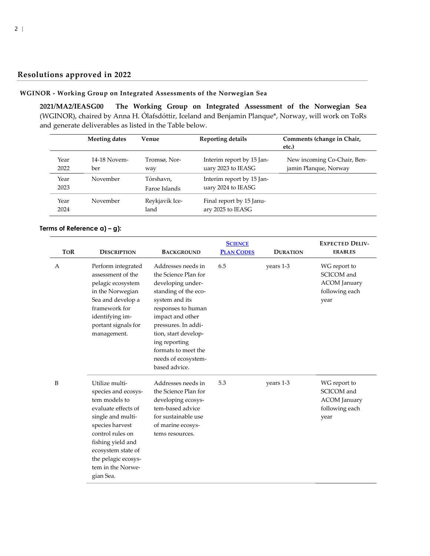## **Resolutions approved in 2022**

### <span id="page-1-0"></span>**WGINOR - Working Group on Integrated Assessments of the Norwegian Sea**

<span id="page-1-1"></span>**2021/MA2/IEASG00 The Working Group on Integrated Assessment of the Norwegian Sea** (WGINOR), chaired by Anna H. Ólafsdóttir, Iceland and Benjamin Planque\*, Norway, will work on ToRs and generate deliverables as listed in the Table below.

|              | Meeting dates       | Venue                      | <b>Reporting details</b>                        | Comments (change in Chair,<br>etc.)                  |
|--------------|---------------------|----------------------------|-------------------------------------------------|------------------------------------------------------|
| Year<br>2022 | 14-18 Novem-<br>ber | Tromsø, Nor-<br>way        | Interim report by 15 Jan-<br>uary 2023 to IEASG | New incoming Co-Chair, Ben-<br>jamin Planque, Norway |
| Year<br>2023 | November            | Tórshavn,<br>Faroe Islands | Interim report by 15 Jan-<br>uary 2024 to IEASG |                                                      |
| Year<br>2024 | November            | Reykjavík Ice-<br>land     | Final report by 15 Janu-<br>ary 2025 to IEASG   |                                                      |

#### **Terms of Reference a) – g):**

| <b>TOR</b> | <b>DESCRIPTION</b>                                                                                                                                                                                                                            | <b>BACKGROUND</b>                                                                                                                                                                                                                                                                  | <b>SCIENCE</b><br><b>PLAN CODES</b> | <b>DURATION</b> | <b>EXPECTED DELIV-</b><br><b>ERABLES</b>                                    |
|------------|-----------------------------------------------------------------------------------------------------------------------------------------------------------------------------------------------------------------------------------------------|------------------------------------------------------------------------------------------------------------------------------------------------------------------------------------------------------------------------------------------------------------------------------------|-------------------------------------|-----------------|-----------------------------------------------------------------------------|
|            |                                                                                                                                                                                                                                               |                                                                                                                                                                                                                                                                                    |                                     |                 |                                                                             |
| A          | Perform integrated<br>assessment of the<br>pelagic ecosystem<br>in the Norwegian<br>Sea and develop a<br>framework for<br>identifying im-<br>portant signals for<br>management.                                                               | Addresses needs in<br>the Science Plan for<br>developing under-<br>standing of the eco-<br>system and its<br>responses to human<br>impact and other<br>pressures. In addi-<br>tion, start develop-<br>ing reporting<br>formats to meet the<br>needs of ecosystem-<br>based advice. | 6.5                                 | years 1-3       | WG report to<br>SCICOM and<br><b>ACOM</b> January<br>following each<br>year |
| B          | Utilize multi-<br>species and ecosys-<br>tem models to<br>evaluate effects of<br>single and multi-<br>species harvest<br>control rules on<br>fishing yield and<br>ecosystem state of<br>the pelagic ecosys-<br>tem in the Norwe-<br>gian Sea. | Addresses needs in<br>the Science Plan for<br>developing ecosys-<br>tem-based advice<br>for sustainable use<br>of marine ecosys-<br>tems resources.                                                                                                                                | 5.3                                 | years 1-3       | WG report to<br>SCICOM and<br><b>ACOM</b> January<br>following each<br>year |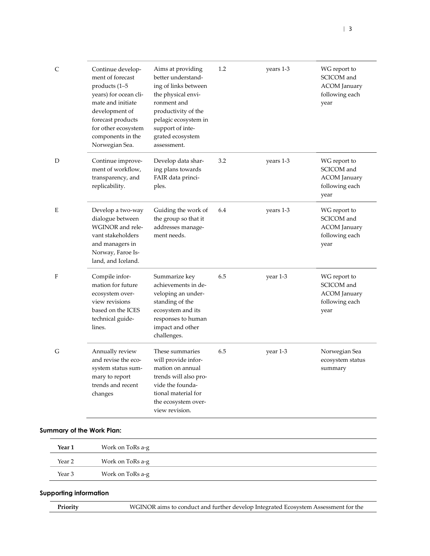| C | Continue develop-<br>ment of forecast<br>products (1-5<br>years) for ocean cli-<br>mate and initiate<br>development of<br>forecast products<br>for other ecosystem<br>components in the<br>Norwegian Sea. | Aims at providing<br>better understand-<br>ing of links between<br>the physical envi-<br>ronment and<br>productivity of the<br>pelagic ecosystem in<br>support of inte-<br>grated ecosystem<br>assessment. | 1.2 | years 1-3 | WG report to<br>SCICOM and<br><b>ACOM</b> January<br>following each<br>year |
|---|-----------------------------------------------------------------------------------------------------------------------------------------------------------------------------------------------------------|------------------------------------------------------------------------------------------------------------------------------------------------------------------------------------------------------------|-----|-----------|-----------------------------------------------------------------------------|
| D | Continue improve-<br>ment of workflow,<br>transparency, and<br>replicability.                                                                                                                             | Develop data shar-<br>ing plans towards<br>FAIR data princi-<br>ples.                                                                                                                                      | 3.2 | years 1-3 | WG report to<br>SCICOM and<br><b>ACOM</b> January<br>following each<br>year |
| E | Develop a two-way<br>dialogue between<br>WGINOR and rele-<br>vant stakeholders<br>and managers in<br>Norway, Faroe Is-<br>land, and Iceland.                                                              | Guiding the work of<br>the group so that it<br>addresses manage-<br>ment needs.                                                                                                                            | 6.4 | years 1-3 | WG report to<br>SCICOM and<br><b>ACOM</b> January<br>following each<br>year |
| F | Compile infor-<br>mation for future<br>ecosystem over-<br>view revisions<br>based on the ICES<br>technical guide-<br>lines.                                                                               | Summarize key<br>achievements in de-<br>veloping an under-<br>standing of the<br>ecosystem and its<br>responses to human<br>impact and other<br>challenges.                                                | 6.5 | year 1-3  | WG report to<br>SCICOM and<br><b>ACOM</b> January<br>following each<br>year |
| G | Annually review<br>and revise the eco-<br>system status sum-<br>mary to report<br>trends and recent<br>changes                                                                                            | These summaries<br>will provide infor-<br>mation on annual<br>trends will also pro-<br>vide the founda-<br>tional material for<br>the ecosystem over-<br>view revision.                                    | 6.5 | year 1-3  | Norwegian Sea<br>ecosystem status<br>summary                                |

| Year 1 | Work on ToRs a-g |  |
|--------|------------------|--|
| Year 2 | Work on ToRs a-g |  |
| Year 3 | Work on ToRs a-g |  |

| WGINOR aims to conduct and further develop Integrated Ecosystem Assessment for the<br>Priority |
|------------------------------------------------------------------------------------------------|
|------------------------------------------------------------------------------------------------|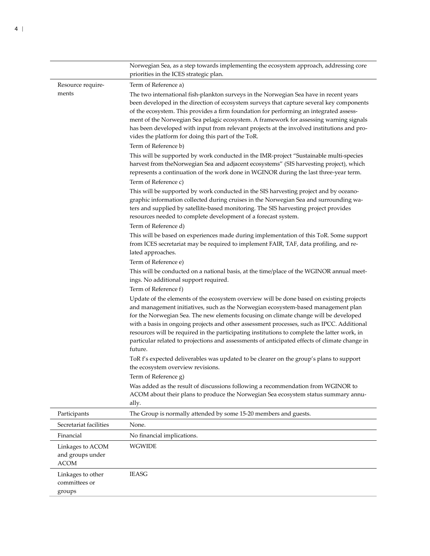|                                                     | Norwegian Sea, as a step towards implementing the ecosystem approach, addressing core<br>priorities in the ICES strategic plan.                                                                                                                                                                                                                                                                                                                                                                                                                                                                        |
|-----------------------------------------------------|--------------------------------------------------------------------------------------------------------------------------------------------------------------------------------------------------------------------------------------------------------------------------------------------------------------------------------------------------------------------------------------------------------------------------------------------------------------------------------------------------------------------------------------------------------------------------------------------------------|
| Resource require-                                   | Term of Reference a)                                                                                                                                                                                                                                                                                                                                                                                                                                                                                                                                                                                   |
| ments                                               | The two international fish-plankton surveys in the Norwegian Sea have in recent years<br>been developed in the direction of ecosystem surveys that capture several key components<br>of the ecosystem. This provides a firm foundation for performing an integrated assess-<br>ment of the Norwegian Sea pelagic ecosystem. A framework for assessing warning signals<br>has been developed with input from relevant projects at the involved institutions and pro-<br>vides the platform for doing this part of the ToR.                                                                              |
|                                                     | Term of Reference b)                                                                                                                                                                                                                                                                                                                                                                                                                                                                                                                                                                                   |
|                                                     | This will be supported by work conducted in the IMR-project "Sustainable multi-species<br>harvest from theNorwegian Sea and adjacent ecosystems" (SIS harvesting project), which<br>represents a continuation of the work done in WGINOR during the last three-year term.                                                                                                                                                                                                                                                                                                                              |
|                                                     | Term of Reference c)                                                                                                                                                                                                                                                                                                                                                                                                                                                                                                                                                                                   |
|                                                     | This will be supported by work conducted in the SIS harvesting project and by oceano-<br>graphic information collected during cruises in the Norwegian Sea and surrounding wa-<br>ters and supplied by satellite-based monitoring. The SIS harvesting project provides<br>resources needed to complete development of a forecast system.                                                                                                                                                                                                                                                               |
|                                                     | Term of Reference d)                                                                                                                                                                                                                                                                                                                                                                                                                                                                                                                                                                                   |
|                                                     | This will be based on experiences made during implementation of this ToR. Some support<br>from ICES secretariat may be required to implement FAIR, TAF, data profiling, and re-<br>lated approaches.                                                                                                                                                                                                                                                                                                                                                                                                   |
|                                                     | Term of Reference e)                                                                                                                                                                                                                                                                                                                                                                                                                                                                                                                                                                                   |
|                                                     | This will be conducted on a national basis, at the time/place of the WGINOR annual meet-<br>ings. No additional support required.                                                                                                                                                                                                                                                                                                                                                                                                                                                                      |
|                                                     | Term of Reference f)<br>Update of the elements of the ecosystem overview will be done based on existing projects<br>and management initiatives, such as the Norwegian ecosystem-based management plan<br>for the Norwegian Sea. The new elements focusing on climate change will be developed<br>with a basis in ongoing projects and other assessment processes, such as IPCC. Additional<br>resources will be required in the participating institutions to complete the latter work, in<br>particular related to projections and assessments of anticipated effects of climate change in<br>future. |
|                                                     | ToR f's expected deliverables was updated to be clearer on the group's plans to support<br>the ecosystem overview revisions.<br>Term of Reference g)                                                                                                                                                                                                                                                                                                                                                                                                                                                   |
|                                                     | Was added as the result of discussions following a recommendation from WGINOR to<br>ACOM about their plans to produce the Norwegian Sea ecosystem status summary annu-<br>ally.                                                                                                                                                                                                                                                                                                                                                                                                                        |
| Participants                                        | The Group is normally attended by some 15-20 members and guests.                                                                                                                                                                                                                                                                                                                                                                                                                                                                                                                                       |
| Secretariat facilities                              | None.                                                                                                                                                                                                                                                                                                                                                                                                                                                                                                                                                                                                  |
| Financial                                           | No financial implications.                                                                                                                                                                                                                                                                                                                                                                                                                                                                                                                                                                             |
| Linkages to ACOM<br>and groups under<br><b>ACOM</b> | <b>WGWIDE</b>                                                                                                                                                                                                                                                                                                                                                                                                                                                                                                                                                                                          |
| Linkages to other<br>committees or<br>groups        | <b>IEASG</b>                                                                                                                                                                                                                                                                                                                                                                                                                                                                                                                                                                                           |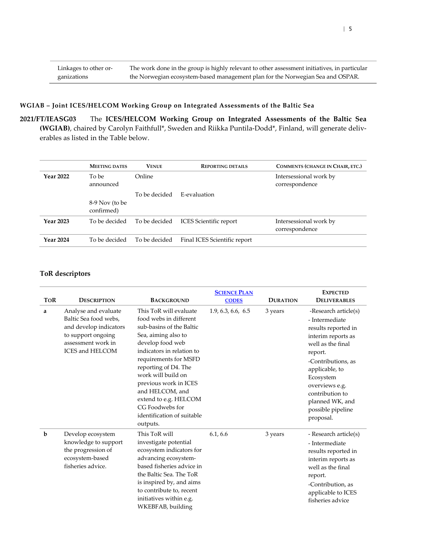#### **WGIAB – Joint ICES/HELCOM Working Group on Integrated Assessments of the Baltic Sea**

<span id="page-4-0"></span>**2021/FT/IEASG03** The **ICES/HELCOM Working Group on Integrated Assessments of the Baltic Sea (WGIAB)**, chaired by Carolyn Faithfull\*, Sweden and Riikka Puntila-Dodd\*, Finland, will generate deliverables as listed in the Table below.

|                  | <b>MEETING DATES</b> | <b>VENUE</b>  | <b>REPORTING DETAILS</b>      | COMMENTS (CHANGE IN CHAIR, ETC.)         |
|------------------|----------------------|---------------|-------------------------------|------------------------------------------|
| <b>Year 2022</b> | To be<br>announced   | Online        |                               | Intersessional work by<br>correspondence |
|                  | 8-9 Nov (to be       | To be decided | E-evaluation                  |                                          |
|                  | confirmed)           |               |                               |                                          |
| <b>Year 2023</b> | To be decided        | To be decided | <b>ICES</b> Scientific report | Intersessional work by<br>correspondence |
| <b>Year 2024</b> | To be decided        | To be decided | Final ICES Scientific report  |                                          |

|             |                                                                                                                                               |                                                                                                                                                                                                                                                                                                                                                               | <b>SCIENCE PLAN</b> |                 | <b>EXPECTED</b>                                                                                                                                                                                                                                                    |
|-------------|-----------------------------------------------------------------------------------------------------------------------------------------------|---------------------------------------------------------------------------------------------------------------------------------------------------------------------------------------------------------------------------------------------------------------------------------------------------------------------------------------------------------------|---------------------|-----------------|--------------------------------------------------------------------------------------------------------------------------------------------------------------------------------------------------------------------------------------------------------------------|
| <b>TOR</b>  | <b>DESCRIPTION</b>                                                                                                                            | <b>BACKGROUND</b>                                                                                                                                                                                                                                                                                                                                             | <b>CODES</b>        | <b>DURATION</b> | <b>DELIVERABLES</b>                                                                                                                                                                                                                                                |
| a           | Analyse and evaluate<br>Baltic Sea food webs,<br>and develop indicators<br>to support ongoing<br>assessment work in<br><b>ICES and HELCOM</b> | This ToR will evaluate<br>food webs in different<br>sub-basins of the Baltic<br>Sea, aiming also to<br>develop food web<br>indicators in relation to<br>requirements for MSFD<br>reporting of D4. The<br>work will build on<br>previous work in ICES<br>and HELCOM, and<br>extend to e.g. HELCOM<br>CG Foodwebs for<br>identification of suitable<br>outputs. | 1.9, 6.3, 6.6, 6.5  | 3 years         | -Research article(s)<br>- Intermediate<br>results reported in<br>interim reports as<br>well as the final<br>report.<br>-Contributions, as<br>applicable, to<br>Ecosystem<br>overviews e.g.<br>contribution to<br>planned WK, and<br>possible pipeline<br>proposal. |
| $\mathbf b$ | Develop ecosystem<br>knowledge to support<br>the progression of<br>ecosystem-based<br>fisheries advice.                                       | This ToR will<br>investigate potential<br>ecosystem indicators for<br>advancing ecosystem-<br>based fisheries advice in<br>the Baltic Sea. The ToR<br>is inspired by, and aims<br>to contribute to, recent<br>initiatives within e.g.<br>WKEBFAB, building                                                                                                    | 6.1, 6.6            | 3 years         | - Research article(s)<br>- Intermediate<br>results reported in<br>interim reports as<br>well as the final<br>report.<br>-Contribution, as<br>applicable to ICES<br>fisheries advice                                                                                |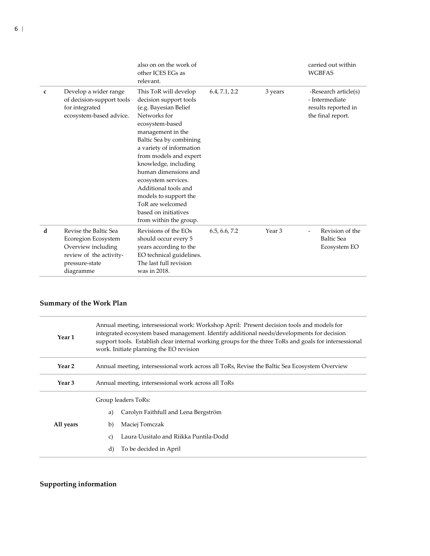|   |                                                                                                                              | also on on the work of<br>other ICES EGs as<br>relevant.                                                                                                                                                                                                                                                                                                                                                        |               |                   | carried out within<br><b>WGBFAS</b>                                                |
|---|------------------------------------------------------------------------------------------------------------------------------|-----------------------------------------------------------------------------------------------------------------------------------------------------------------------------------------------------------------------------------------------------------------------------------------------------------------------------------------------------------------------------------------------------------------|---------------|-------------------|------------------------------------------------------------------------------------|
| c | Develop a wider range<br>of decision-support tools<br>for integrated<br>ecosystem-based advice.                              | This ToR will develop<br>decision support tools<br>(e.g. Bayesian Belief<br>Networks for<br>ecosystem-based<br>management in the<br>Baltic Sea by combining<br>a variety of information<br>from models and expert<br>knowledge, including<br>human dimensions and<br>ecosystem services.<br>Additional tools and<br>models to support the<br>ToR are welcomed<br>based on initiatives<br>from within the group. | 6.4, 7.1, 2.2 | 3 years           | -Research article(s)<br>- Intermediate<br>results reported in<br>the final report. |
| d | Revise the Baltic Sea<br>Ecoregion Ecosystem<br>Overview including<br>review of the activity-<br>pressure-state<br>diagramme | Revisions of the EOs<br>should occur every 5<br>years according to the<br>EO technical guidelines.<br>The last full revision<br>was in 2018.                                                                                                                                                                                                                                                                    | 6.5, 6.6, 7.2 | Year <sub>3</sub> | Revision of the<br><b>Baltic Sea</b><br>Ecosystem EO                               |

| Year 1              | Annual meeting, intersessional work: Workshop April: Present decision tools and models for<br>integrated ecosystem based management. Identify additional needs/developments for decision<br>support tools. Establish clear internal working groups for the three ToRs and goals for intersessional<br>work. Initiate planning the EO revision |  |  |
|---------------------|-----------------------------------------------------------------------------------------------------------------------------------------------------------------------------------------------------------------------------------------------------------------------------------------------------------------------------------------------|--|--|
| Year 2              | Annual meeting, intersessional work across all ToRs, Revise the Baltic Sea Ecosystem Overview                                                                                                                                                                                                                                                 |  |  |
| Year 3              | Annual meeting, intersessional work across all ToRs                                                                                                                                                                                                                                                                                           |  |  |
| Group leaders ToRs: |                                                                                                                                                                                                                                                                                                                                               |  |  |
|                     | Carolyn Faithfull and Lena Bergström<br>a)                                                                                                                                                                                                                                                                                                    |  |  |
| All years           | Maciej Tomczak<br>b)                                                                                                                                                                                                                                                                                                                          |  |  |
|                     | Laura Uusitalo and Riikka Puntila-Dodd<br>c)                                                                                                                                                                                                                                                                                                  |  |  |
|                     | To be decided in April<br>$\rm d$                                                                                                                                                                                                                                                                                                             |  |  |
|                     |                                                                                                                                                                                                                                                                                                                                               |  |  |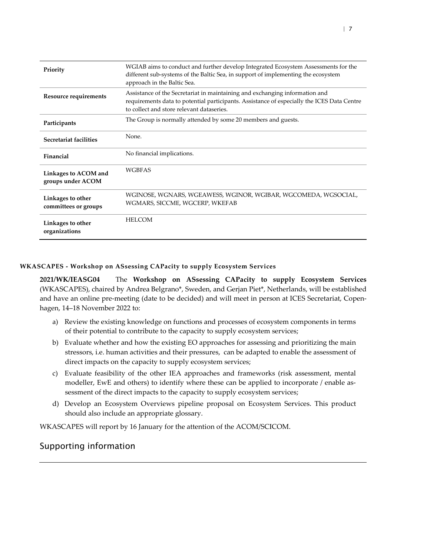| Priority                                  | WGIAB aims to conduct and further develop Integrated Ecosystem Assessments for the<br>different sub-systems of the Baltic Sea, in support of implementing the ecosystem<br>approach in the Baltic Sea.                 |
|-------------------------------------------|------------------------------------------------------------------------------------------------------------------------------------------------------------------------------------------------------------------------|
| Resource requirements                     | Assistance of the Secretariat in maintaining and exchanging information and<br>requirements data to potential participants. Assistance of especially the ICES Data Centre<br>to collect and store relevant dataseries. |
| Participants                              | The Group is normally attended by some 20 members and guests.                                                                                                                                                          |
| Secretariat facilities                    | None.                                                                                                                                                                                                                  |
| Financial                                 | No financial implications.                                                                                                                                                                                             |
| Linkages to ACOM and<br>groups under ACOM | <b>WGBFAS</b>                                                                                                                                                                                                          |
| Linkages to other<br>committees or groups | WGINOSE, WGNARS, WGEAWESS, WGINOR, WGIBAR, WGCOMEDA, WGSOCIAL,<br>WGMARS, SICCME, WGCERP, WKEFAB                                                                                                                       |
| Linkages to other<br>organizations        | <b>HELCOM</b>                                                                                                                                                                                                          |

### **WKASCAPES - Workshop on ASsessing CAPacity to supply Ecosystem Services**

<span id="page-6-0"></span>**2021/WK/IEASG04** The **Workshop on ASsessing CAPacity to supply Ecosystem Services** (WKASCAPES), chaired by Andrea Belgrano\*, Sweden, and Gerjan Piet\*, Netherlands, will be established and have an online pre-meeting (date to be decided) and will meet in person at ICES Secretariat, Copenhagen, 14–18 November 2022 to:

- a) Review the existing knowledge on functions and processes of ecosystem components in terms of their potential to contribute to the capacity to supply ecosystem services;
- b) Evaluate whether and how the existing EO approaches for assessing and prioritizing the main stressors, i.e. human activities and their pressures, can be adapted to enable the assessment of direct impacts on the capacity to supply ecosystem services;
- c) Evaluate feasibility of the other IEA approaches and frameworks (risk assessment, mental modeller, EwE and others) to identify where these can be applied to incorporate / enable assessment of the direct impacts to the capacity to supply ecosystem services;
- d) Develop an Ecosystem Overviews pipeline proposal on Ecosystem Services. This product should also include an appropriate glossary.

WKASCAPES will report by 16 January for the attention of the ACOM/SCICOM.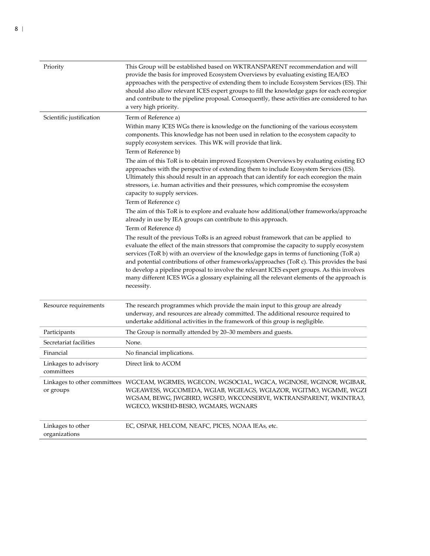| Priority                           | This Group will be established based on WKTRANSPARENT recommendation and will<br>provide the basis for improved Ecosystem Overviews by evaluating existing IEA/EO<br>approaches with the perspective of extending them to include Ecosystem Services (ES). This<br>should also allow relevant ICES expert groups to fill the knowledge gaps for each ecoregion<br>and contribute to the pipeline proposal. Consequently, these activities are considered to hav<br>a very high priority.                                                                                               |
|------------------------------------|----------------------------------------------------------------------------------------------------------------------------------------------------------------------------------------------------------------------------------------------------------------------------------------------------------------------------------------------------------------------------------------------------------------------------------------------------------------------------------------------------------------------------------------------------------------------------------------|
| Scientific justification           | Term of Reference a)<br>Within many ICES WGs there is knowledge on the functioning of the various ecosystem<br>components. This knowledge has not been used in relation to the ecosystem capacity to<br>supply ecosystem services. This WK will provide that link.<br>Term of Reference b)                                                                                                                                                                                                                                                                                             |
|                                    | The aim of this ToR is to obtain improved Ecosystem Overviews by evaluating existing EO<br>approaches with the perspective of extending them to include Ecosystem Services (ES).<br>Ultimately this should result in an approach that can identify for each ecoregion the main<br>stressors, i.e. human activities and their pressures, which compromise the ecosystem<br>capacity to supply services.<br>Term of Reference c)                                                                                                                                                         |
|                                    | The aim of this ToR is to explore and evaluate how additional/other frameworks/approache<br>already in use by IEA groups can contribute to this approach.<br>Term of Reference d)                                                                                                                                                                                                                                                                                                                                                                                                      |
|                                    | The result of the previous ToRs is an agreed robust framework that can be applied to<br>evaluate the effect of the main stressors that compromise the capacity to supply ecosystem<br>services (ToR b) with an overview of the knowledge gaps in terms of functioning (ToR a)<br>and potential contributions of other frameworks/approaches (ToR c). This provides the basi<br>to develop a pipeline proposal to involve the relevant ICES expert groups. As this involves<br>many different ICES WGs a glossary explaining all the relevant elements of the approach is<br>necessity. |
| Resource requirements              | The research programmes which provide the main input to this group are already<br>underway, and resources are already committed. The additional resource required to<br>undertake additional activities in the framework of this group is negligible.                                                                                                                                                                                                                                                                                                                                  |
| Participants                       | The Group is normally attended by 20–30 members and guests.                                                                                                                                                                                                                                                                                                                                                                                                                                                                                                                            |
| Secretariat facilities             | None.                                                                                                                                                                                                                                                                                                                                                                                                                                                                                                                                                                                  |
| Financial                          | No financial implications.                                                                                                                                                                                                                                                                                                                                                                                                                                                                                                                                                             |
| Linkages to advisory<br>committees | Direct link to ACOM                                                                                                                                                                                                                                                                                                                                                                                                                                                                                                                                                                    |
| or groups                          | Linkages to other committees WGCEAM, WGRMES, WGECON, WGSOCIAL, WGICA, WGINOSE, WGINOR, WGIBAR,<br>WGEAWESS, WGCOMEDA, WGIAB, WGIEAGS, WGIAZOR, WGITMO, WGMME, WGZE<br>WGSAM, BEWG, JWGBIRD, WGSFD, WKCONSERVE, WKTRANSPARENT, WKINTRA3,<br>WGECO, WKSIHD-BESIO, WGMARS, WGNARS                                                                                                                                                                                                                                                                                                         |
| Linkages to other<br>organizations | EC, OSPAR, HELCOM, NEAFC, PICES, NOAA IEAs, etc.                                                                                                                                                                                                                                                                                                                                                                                                                                                                                                                                       |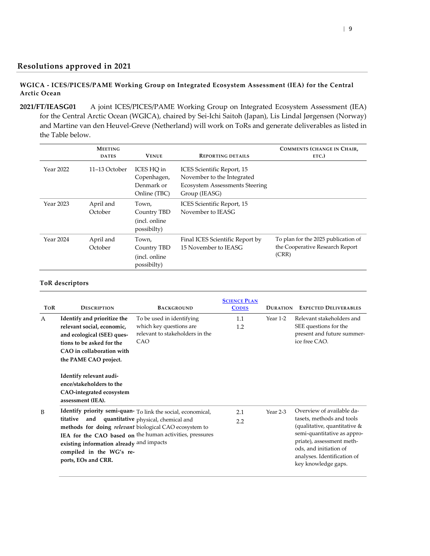### **Resolutions approved in 2021**

### **WGICA - ICES/PICES/PAME Working Group on Integrated Ecosystem Assessment (IEA) for the Central Arctic Ocean**

<span id="page-8-1"></span><span id="page-8-0"></span>**2021/FT/IEASG01** A joint ICES/PICES/PAME Working Group on Integrated Ecosystem Assessment (IEA) for the Central Arctic Ocean (WGICA), chaired by Sei-Ichi Saitoh (Japan), Lis Lindal Jørgensen (Norway) and Martine van den Heuvel-Greve (Netherland) will work on ToRs and generate deliverables as listed in the Table below.

|           | <b>MEETING</b><br><b>DATES</b> | <b>VENUE</b>                                            | <b>REPORTING DETAILS</b>                                                                                           | <b>COMMENTS (CHANGE IN CHAIR,</b><br>ETC.)                                      |
|-----------|--------------------------------|---------------------------------------------------------|--------------------------------------------------------------------------------------------------------------------|---------------------------------------------------------------------------------|
| Year 2022 | 11–13 October                  | ICES HO in<br>Copenhagen,<br>Denmark or<br>Online (TBC) | ICES Scientific Report, 15<br>November to the Integrated<br><b>Ecosystem Assessments Steering</b><br>Group (IEASG) |                                                                                 |
| Year 2023 | April and<br>October           | Town,<br>Country TBD<br>(incl. online)<br>possibilty)   | ICES Scientific Report, 15<br>November to IEASG                                                                    |                                                                                 |
| Year 2024 | April and<br>October           | Town,<br>Country TBD<br>(incl. online)<br>possibilty)   | Final ICES Scientific Report by<br>15 November to IEASG                                                            | To plan for the 2025 publication of<br>the Cooperative Research Report<br>(CRR) |

| <b>TOR</b> | <b>DESCRIPTION</b>                                                                                                                                                         | <b>BACKGROUND</b>                                                                                                                                                                                                                | <b>SCIENCE PLAN</b><br><b>CODES</b> | <b>DURATION</b> | <b>EXPECTED DELIVERABLES</b>                                                                                                                                                                                                       |
|------------|----------------------------------------------------------------------------------------------------------------------------------------------------------------------------|----------------------------------------------------------------------------------------------------------------------------------------------------------------------------------------------------------------------------------|-------------------------------------|-----------------|------------------------------------------------------------------------------------------------------------------------------------------------------------------------------------------------------------------------------------|
| A          | Identify and prioritize the<br>relevant social, economic,<br>and ecological (SEE) ques-<br>tions to be asked for the<br>CAO in collaboration with<br>the PAME CAO project. | To be used in identifying<br>which key questions are<br>relevant to stakeholders in the<br>CAO                                                                                                                                   | 1.1<br>1.2                          | Year 1-2        | Relevant stakeholders and<br>SEE questions for the<br>present and future summer-<br>ice free CAO.                                                                                                                                  |
|            | Identify relevant audi-<br>ence/stakeholders to the<br>CAO-integrated ecosystem<br>assessment (IEA).                                                                       |                                                                                                                                                                                                                                  |                                     |                 |                                                                                                                                                                                                                                    |
| B          | titative<br>and<br>existing information already and impacts<br>compiled in the WG's re-<br>ports, EOs and CRR.                                                             | Identify priority semi-quan- To link the social, economical,<br>quantitative physical, chemical and<br>methods for doing <i>relevant</i> biological CAO ecosystem to<br>IEA for the CAO based on the human activities, pressures | 2.1<br>2.2                          | Year 2-3        | Overview of available da-<br>tasets, methods and tools<br>(qualitative, quantitative &<br>semi-quantitative as appro-<br>priate), assessment meth-<br>ods, and initiation of<br>analyses. Identification of<br>key knowledge gaps. |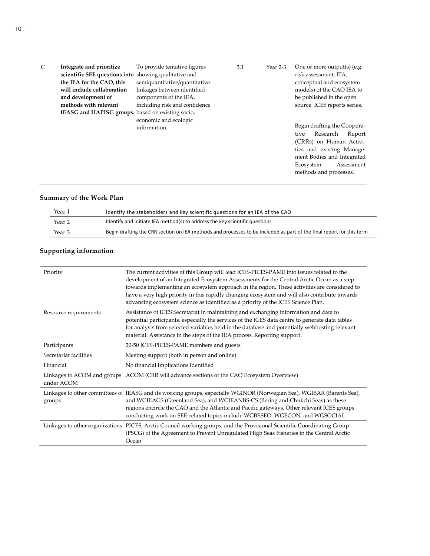| Integrate and prioritize<br>scientific SEE questions into showing qualitative and | To provide tentative figures  | 3.1 | Year 2-3 | One or more output(s) (e.g.<br>risk assessment, ITA, |
|-----------------------------------------------------------------------------------|-------------------------------|-----|----------|------------------------------------------------------|
| the IEA for the CAO, this                                                         | semiquantitative/quantitative |     |          | conceptual and ecosystem                             |
| will include collaboration                                                        | linkages between identified   |     |          | models) of the CAO IEA to                            |
| and development of                                                                | components of the IEA,        |     |          | be published in the open                             |
| methods with relevant                                                             | including risk and confidence |     |          | source ICES reports series.                          |
| IEASG and HAPISG groups. based on existing socio,                                 |                               |     |          |                                                      |
|                                                                                   | economic and ecologic         |     |          |                                                      |
|                                                                                   | information.                  |     |          | Begin drafting the Coopera-                          |
|                                                                                   |                               |     |          | Research<br>Report<br>tive                           |
|                                                                                   |                               |     |          | (CRRs) on Human Activi-                              |
|                                                                                   |                               |     |          | ties and existing Manage-                            |
|                                                                                   |                               |     |          | ment Bodies and Integrated                           |
|                                                                                   |                               |     |          | Ecosystem<br>Assessment                              |
|                                                                                   |                               |     |          | methods and processes.                               |
|                                                                                   |                               |     |          |                                                      |

| Year 1 | Identify the stakeholders and key scientific questions for an IEA of the CAO                                         |
|--------|----------------------------------------------------------------------------------------------------------------------|
| Year 2 | Identify and initiate IEA method(s) to address the key scientific questions                                          |
| Year 3 | Begin drafting the CRR section on IEA methods and processes to be included as part of the final report for this term |

| Priority               | The current activities of this Group will lead ICES-PICES-PAME into issues related to the<br>development of an Integrated Ecosystem Assessments for the Central Arctic Ocean as a step<br>towards implementing an ecosystem approach in the region. These activities are considered to<br>have a very high priority in this rapidly changing ecosystem and will also contribute towards<br>advancing ecosystem science as identified as a priority of the ICES Science Plan. |
|------------------------|------------------------------------------------------------------------------------------------------------------------------------------------------------------------------------------------------------------------------------------------------------------------------------------------------------------------------------------------------------------------------------------------------------------------------------------------------------------------------|
| Resource requirements  | Assistance of ICES Secretariat in maintaining and exchanging information and data to<br>potential participants, especially the services of the ICES data centre to generate data tables<br>for analysis from selected variables held in the database and potentially webhosting relevant<br>material. Assistance in the steps of the IEA process. Reporting support.                                                                                                         |
| Participants           | 20-50 ICES-PICES-PAME members and guests                                                                                                                                                                                                                                                                                                                                                                                                                                     |
| Secretariat facilities | Meeting support (both in person and online)                                                                                                                                                                                                                                                                                                                                                                                                                                  |
| Financial              | No financial implications identified                                                                                                                                                                                                                                                                                                                                                                                                                                         |
| under ACOM             | Linkages to ACOM and groups ACOM (CRR will advance sections of the CAO Ecosystem Overview)                                                                                                                                                                                                                                                                                                                                                                                   |
| groups                 | Linkages to other committees or IEASG and its working groups, especially WGINOR (Norwegian Sea), WGIBAR (Barents Sea),<br>and WGIEAGS (Greenland Sea), and WGIEANBS-CS (Bering and Chukchi Seas) as these<br>regions encircle the CAO and the Atlantic and Pacific gateways. Other relevant ICES groups<br>conducting work on SEE-related topics include WGBESEO, WGECON, and WGSOCIAL.                                                                                      |
|                        | Linkages to other organizations PICES, Arctic Council working groups, and the Provisional Scientific Coordinating Group<br>(PSCG) of the Agreement to Prevent Unregulated High Seas Fisheries in the Central Arctic<br>Ocean                                                                                                                                                                                                                                                 |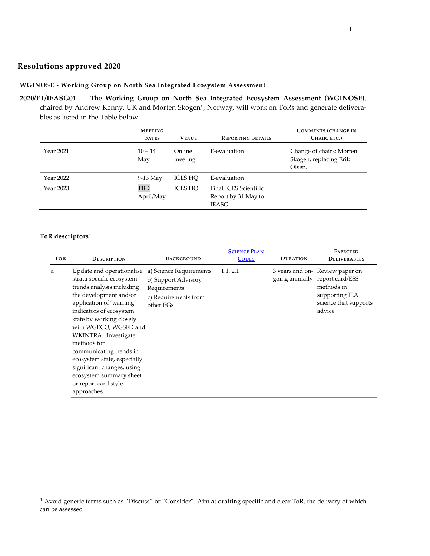### **Resolutions approved 2020**

#### **WGINOSE - Working Group on North Sea Integrated Ecosystem Assessment**

<span id="page-10-1"></span><span id="page-10-0"></span>**2020/FT/IEASG01** The **Working Group on North Sea Integrated Ecosystem Assessment (WGINOSE)**, chaired by Andrew Kenny, UK and Morten Skogen\*, Norway, will work on ToRs and generate deliverables as listed in the Table below.

|           | <b>MEETING</b><br><b>DATES</b> | <b>VENUE</b>      | <b>REPORTING DETAILS</b>                                     | <b>COMMENTS (CHANGE IN</b><br>CHAIR, ETC.)                   |
|-----------|--------------------------------|-------------------|--------------------------------------------------------------|--------------------------------------------------------------|
| Year 2021 | $10 - 14$<br>May               | Online<br>meeting | E-evaluation                                                 | Change of chairs: Morten<br>Skogen, replacing Erik<br>Olsen. |
| Year 2022 | $9-13$ May                     | ICES HO           | E-evaluation                                                 |                                                              |
| Year 2023 | <b>TBD</b><br>April/May        | ICES HO           | Final ICES Scientific<br>Report by 31 May to<br><b>IEASG</b> |                                                              |

#### **ToR descriptors[1](#page-10-2)**

 $\overline{\phantom{a}}$ 

| ToR | <b>DESCRIPTION</b>                                                                                                                                                                                                                                                                                                                                                                                                         | <b>BACKGROUND</b>                                                                                   | <b>SCIENCE PLAN</b><br><b>CODES</b> | <b>DURATION</b> | <b>EXPECTED</b><br><b>DELIVERABLES</b>                                                                                              |
|-----|----------------------------------------------------------------------------------------------------------------------------------------------------------------------------------------------------------------------------------------------------------------------------------------------------------------------------------------------------------------------------------------------------------------------------|-----------------------------------------------------------------------------------------------------|-------------------------------------|-----------------|-------------------------------------------------------------------------------------------------------------------------------------|
| a   | Update and operationalise<br>strata specific ecosystem<br>trends analysis including<br>the development and/or<br>application of 'warning'<br>indicators of ecosystem<br>state by working closely<br>with WGECO, WGSFD and<br>WKINTRA. Investigate<br>methods for<br>communicating trends in<br>ecosystem state, especially<br>significant changes, using<br>ecosystem summary sheet<br>or report card style<br>approaches. | a) Science Requirements<br>b) Support Advisory<br>Requirements<br>c) Requirements from<br>other EGs | 1.1, 2.1                            |                 | 3 years and on-Review paper on<br>going annually report card/ESS<br>methods in<br>supporting IEA<br>science that supports<br>advice |

<span id="page-10-2"></span><sup>1</sup> Avoid generic terms such as "Discuss" or "Consider". Aim at drafting specific and clear ToR, the delivery of which can be assessed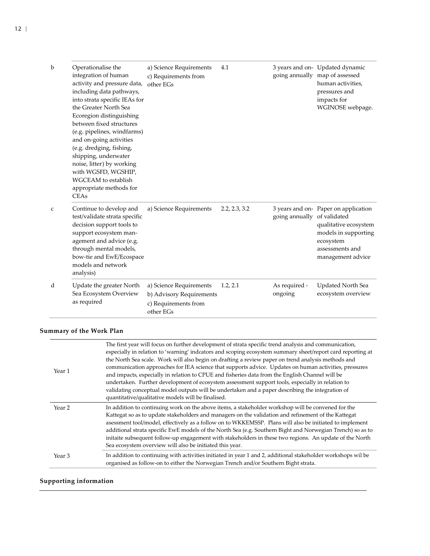| b | Operationalise the<br>integration of human<br>activity and pressure data,<br>including data pathways,<br>into strata specific IEAs for<br>the Greater North Sea<br>Ecoregion distinguishing<br>between fixed structures<br>(e.g. pipelines, windfarms)<br>and on-going activities<br>(e.g. dredging, fishing,<br>shipping, underwater<br>noise, litter) by working<br>with WGSFD, WGSHIP,<br><b>WGCEAM</b> to establish<br>appropriate methods for<br><b>CEAs</b> | a) Science Requirements<br>c) Requirements from<br>other EGs                             | 4.1           |                             | 3 years and on- Updated dynamic<br>going annually map of assessed<br>human activities,<br>pressures and<br>impacts for<br>WGINOSE webpage. |
|---|-------------------------------------------------------------------------------------------------------------------------------------------------------------------------------------------------------------------------------------------------------------------------------------------------------------------------------------------------------------------------------------------------------------------------------------------------------------------|------------------------------------------------------------------------------------------|---------------|-----------------------------|--------------------------------------------------------------------------------------------------------------------------------------------|
| C | Continue to develop and<br>test/validate strata specific<br>decision support tools to<br>support ecosystem man-<br>agement and advice (e.g.<br>through mental models,<br>bow-tie and EwE/Ecospace<br>models and network<br>analysis)                                                                                                                                                                                                                              | a) Science Requirements                                                                  | 2.2, 2.3, 3.2 | going annually of validated | 3 years and on- Paper on application<br>qualitative ecosystem<br>models in supporting<br>ecosystem<br>assessments and<br>management advice |
| d | Update the greater North<br>Sea Ecosystem Overview<br>as required                                                                                                                                                                                                                                                                                                                                                                                                 | a) Science Requirements<br>b) Advisory Requirements<br>c) Requirements from<br>other EGs | 1.2, 2.1      | As required -<br>ongoing    | <b>Updated North Sea</b><br>ecosystem overview                                                                                             |

| Year 1 | The first year will focus on further development of strata specific trend analysis and communication,<br>especially in relation to 'warning' indcators and scoping ecosystem summary sheet/report card reporting at<br>the North Sea scale. Work will also begin on drafting a review paper on trend analysis methods and<br>communication approaches for IEA science that supports advice. Updates on human activities, pressures<br>and impacts, especially in relation to CPUE and fisheries data from the English Channel will be<br>undertaken. Further development of ecosystem assessment support tools, especially in relation to<br>validating conceptual model outputs will be undertaken and a paper describing the integration of<br>quantitative/qualitative models will be finalised. |
|--------|-----------------------------------------------------------------------------------------------------------------------------------------------------------------------------------------------------------------------------------------------------------------------------------------------------------------------------------------------------------------------------------------------------------------------------------------------------------------------------------------------------------------------------------------------------------------------------------------------------------------------------------------------------------------------------------------------------------------------------------------------------------------------------------------------------|
| Year 2 | In addition to continuing work on the above items, a stakeholder workshop will be convened for the<br>Kattegat so as to update stakeholders and managers on the validation and refinement of the Kattegat<br>assessment tool/model, effectively as a follow on to WKKEMSSP. Plans will also be initiated to implement<br>additional strata specific EwE models of the North Sea (e.g. Southern Bight and Norwegian Trench) so as to<br>initaite subsequent follow-up engagement with stakeholders in these two regions. An update of the North<br>Sea ecosystem overview will also be initiated this year.                                                                                                                                                                                          |
| Year 3 | In addition to continuing with activities initiated in year 1 and 2, additional stakeholder workshops wil be<br>organised as follow-on to either the Norwegian Trench and/or Southern Bight strata.                                                                                                                                                                                                                                                                                                                                                                                                                                                                                                                                                                                                 |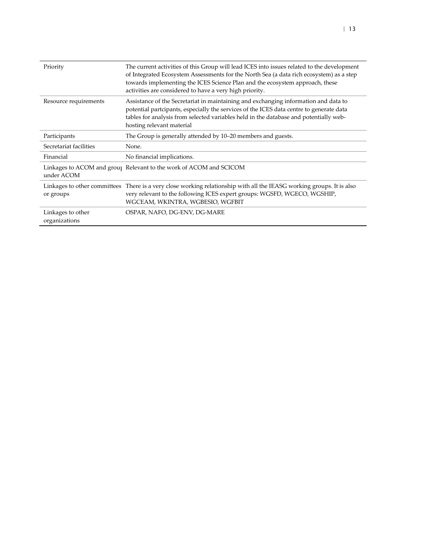| Priority                                  | The current activities of this Group will lead ICES into issues related to the development<br>of Integrated Ecosystem Assessments for the North Sea (a data rich ecosystem) as a step<br>towards implementing the ICES Science Plan and the ecosystem approach, these<br>activities are considered to have a very high priority. |
|-------------------------------------------|----------------------------------------------------------------------------------------------------------------------------------------------------------------------------------------------------------------------------------------------------------------------------------------------------------------------------------|
| Resource requirements                     | Assistance of the Secretariat in maintaining and exchanging information and data to<br>potential partcipants, especially the services of the ICES data centre to generate data<br>tables for analysis from selected variables held in the database and potentially web-<br>hosting relevant material                             |
| Participants                              | The Group is generally attended by 10–20 members and guests.                                                                                                                                                                                                                                                                     |
| Secretariat facilities                    | None.                                                                                                                                                                                                                                                                                                                            |
| Financial                                 | No financial implications.                                                                                                                                                                                                                                                                                                       |
| under ACOM                                | Linkages to ACOM and group Relevant to the work of ACOM and SCICOM                                                                                                                                                                                                                                                               |
| Linkages to other committees<br>or groups | There is a very close working relationship with all the IEASG working groups. It is also<br>very relevant to the following ICES expert groups: WGSFD, WGECO, WGSHIP,<br>WGCEAM, WKINTRA, WGBESIO, WGFBIT                                                                                                                         |
| Linkages to other<br>organizations        | OSPAR, NAFO, DG-ENV, DG-MARE                                                                                                                                                                                                                                                                                                     |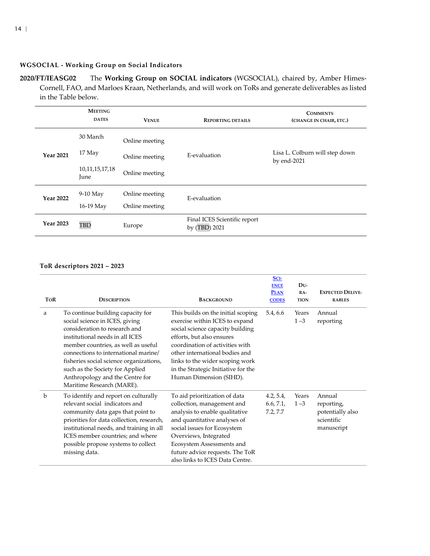### **WGSOCIAL - Working Group on Social Indicators**

**2020/FT/IEASG02** The **Working Group on SOCIAL indicators** (WGSOCIAL), chaired by, Amber Himes-Cornell, FAO, and Marloes Kraan, Netherlands, and will work on ToRs and generate deliverables as listed in the Table below.

<span id="page-13-0"></span>

|                  | <b>MEETING</b><br><b>DATES</b> | <b>VENUE</b>   | <b>REPORTING DETAILS</b>                      | <b>COMMENTS</b><br>(CHANGE IN CHAIR, ETC.)       |  |
|------------------|--------------------------------|----------------|-----------------------------------------------|--------------------------------------------------|--|
|                  | 30 March                       | Online meeting |                                               |                                                  |  |
| <b>Year 2021</b> | 17 May                         | Online meeting | E-evaluation                                  | Lisa L. Colburn will step down<br>by end- $2021$ |  |
|                  | 10, 11, 15, 17, 18<br>June     | Online meeting |                                               |                                                  |  |
| <b>Year 2022</b> | $9-10$ May                     | Online meeting | E-evaluation                                  |                                                  |  |
|                  | 16-19 May                      | Online meeting |                                               |                                                  |  |
| <b>Year 2023</b> | TBD                            | Europe         | Final ICES Scientific report<br>by (TBD) 2021 |                                                  |  |

### **ToR descriptors 2021 – 2023**

| <b>TOR</b>  | <b>DESCRIPTION</b>                                                                                                                                                                                                                                                                                                                                                   | <b>BACKGROUND</b>                                                                                                                                                                                                                                                                                               | SCI-<br><b>ENCE</b><br><b>PLAN</b><br><b>CODES</b> | DU-<br>$RA-$<br><b>TION</b> | <b>EXPECTED DELIVE-</b><br><b>RABLES</b>                             |
|-------------|----------------------------------------------------------------------------------------------------------------------------------------------------------------------------------------------------------------------------------------------------------------------------------------------------------------------------------------------------------------------|-----------------------------------------------------------------------------------------------------------------------------------------------------------------------------------------------------------------------------------------------------------------------------------------------------------------|----------------------------------------------------|-----------------------------|----------------------------------------------------------------------|
| a           | To continue building capacity for<br>social science in ICES, giving<br>consideration to research and<br>institutional needs in all ICES<br>member countries, as well as useful<br>connections to international marine/<br>fisheries social science organizations,<br>such as the Society for Applied<br>Anthropology and the Centre for<br>Maritime Research (MARE). | This builds on the initial scoping<br>exercise within ICES to expand<br>social science capacity building<br>efforts, but also ensures<br>coordination of activities with<br>other international bodies and<br>links to the wider scoping work<br>in the Strategic Initiative for the<br>Human Dimension (SIHD). | 5.4, 6.6                                           | Years<br>$1 - 3$            | Annual<br>reporting                                                  |
| $\mathbf b$ | To identify and report on culturally<br>relevant social indicators and<br>community data gaps that point to<br>priorities for data collection, research,<br>institutional needs, and training in all<br>ICES member countries; and where<br>possible propose systems to collect<br>missing data.                                                                     | To aid prioritization of data<br>collection, management and<br>analysis to enable qualitative<br>and quantitative analyses of<br>social issues for Ecosystem<br>Overviews, Integrated<br>Ecosystem Assessments and<br>future advice requests. The ToR<br>also links to ICES Data Centre.                        | 4.2, 5.4,<br>6.6, 7.1,<br>7.2, 7.7                 | Years<br>$1 - 3$            | Annual<br>reporting,<br>potentially also<br>scientific<br>manuscript |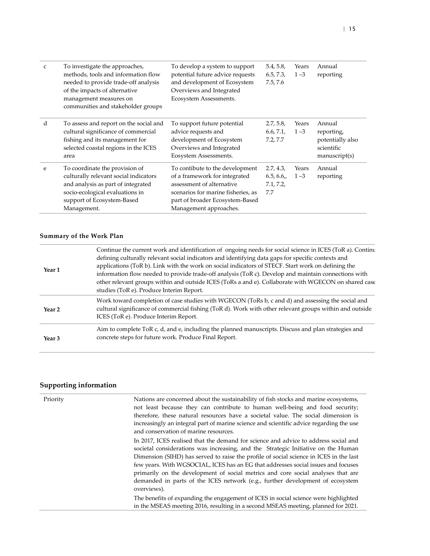| C | To investigate the approaches,<br>methods, tools and information flow<br>needed to provide trade-off analysis<br>of the impacts of alternative<br>management measures on<br>communities and stakeholder groups | To develop a system to support<br>potential future advice requests<br>and development of Ecosystem<br>Overviews and Integrated<br>Ecosystem Assessments.                                         | 5.4, 5.8,<br>6.5, 7.3,<br>7.5, 7.6         | Years<br>$1 - 3$ | Annual<br>reporting                                                     |
|---|----------------------------------------------------------------------------------------------------------------------------------------------------------------------------------------------------------------|--------------------------------------------------------------------------------------------------------------------------------------------------------------------------------------------------|--------------------------------------------|------------------|-------------------------------------------------------------------------|
| d | To assess and report on the social and<br>cultural significance of commercial<br>fishing and its management for<br>selected coastal regions in the ICES<br>area                                                | To support future potential<br>advice requests and<br>development of Ecosystem<br>Overviews and Integrated<br>Eosystem Assessments.                                                              | 2.7, 5.8,<br>6.6, 7.1,<br>7.2, 7.7         | Years<br>$1 - 3$ | Annual<br>reporting,<br>potentially also<br>scientific<br>manuscript(s) |
| e | To coordinate the provision of<br>culturally relevant social indicators<br>and analysis as part of integrated<br>socio-ecological evaluations in<br>support of Ecosystem-Based<br>Management.                  | To contibute to the development<br>of a framework for integrated<br>assessment of alternative<br>scenarios for marine fisheries, as<br>part of broader Ecosystem-Based<br>Management approaches. | 2.7, 4.3,<br>6.5, 6.6,<br>7.1, 7.2,<br>7.7 | Years<br>$1 - 3$ | Annual<br>reporting                                                     |

| Year 1            | Continue the current work and identification of ongoing needs for social science in ICES (ToR a). Continuor<br>defining culturally relevant social indicators and identifying data gaps for specific contexts and<br>applications (ToR b). Link with the work on social indicators of STECF. Start work on defining the<br>information flow needed to provide trade-off analysis (ToR c). Develop and maintain connections with<br>other relevant groups within and outside ICES (ToRs a and e). Collaborate with WGECON on shared case<br>studies (ToR e). Produce Interim Report. |
|-------------------|-------------------------------------------------------------------------------------------------------------------------------------------------------------------------------------------------------------------------------------------------------------------------------------------------------------------------------------------------------------------------------------------------------------------------------------------------------------------------------------------------------------------------------------------------------------------------------------|
| Year <sub>2</sub> | Work toward completion of case studies with WGECON (ToRs b, c and d) and assessing the social and<br>cultural significance of commercial fishing (ToR d). Work with other relevant groups within and outside<br>ICES (ToR e). Produce Interim Report.                                                                                                                                                                                                                                                                                                                               |
| Year <sub>3</sub> | Aim to complete ToR c, d, and e, including the planned manuscripts. Discuss and plan strategies and<br>concrete steps for future work. Produce Final Report.                                                                                                                                                                                                                                                                                                                                                                                                                        |

| Priority | Nations are concerned about the sustainability of fish stocks and marine ecosystems,<br>not least because they can contribute to human well-being and food security;<br>therefore, these natural resources have a societal value. The social dimension is<br>increasingly an integral part of marine science and scientific advice regarding the use<br>and conservation of marine resources.                                                                                                                                               |
|----------|---------------------------------------------------------------------------------------------------------------------------------------------------------------------------------------------------------------------------------------------------------------------------------------------------------------------------------------------------------------------------------------------------------------------------------------------------------------------------------------------------------------------------------------------|
|          | In 2017, ICES realised that the demand for science and advice to address social and<br>societal considerations was increasing, and the Strategic Initiative on the Human<br>Dimension (SIHD) has served to raise the profile of social science in ICES in the last<br>few years. With WGSOCIAL, ICES has an EG that addresses social issues and focuses<br>primarily on the development of social metrics and core social analyses that are<br>demanded in parts of the ICES network (e.g., further development of ecosystem<br>overviews). |
|          | The benefits of expanding the engagement of ICES in social science were highlighted<br>in the MSEAS meeting 2016, resulting in a second MSEAS meeting, planned for 2021.                                                                                                                                                                                                                                                                                                                                                                    |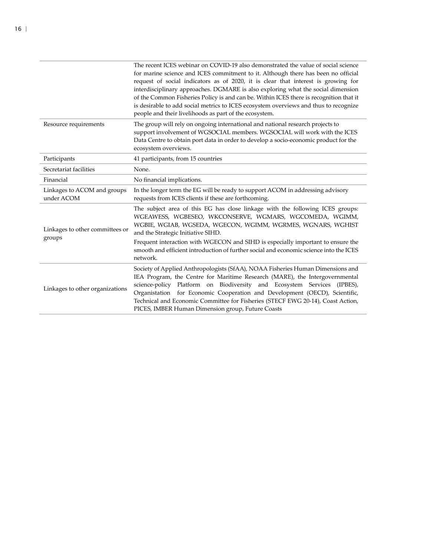|                                           | The recent ICES webinar on COVID-19 also demonstrated the value of social science<br>for marine science and ICES commitment to it. Although there has been no official<br>request of social indicators as of 2020, it is clear that interest is growing for<br>interdisciplinary approaches. DGMARE is also exploring what the social dimension<br>of the Common Fisheries Policy is and can be. Within ICES there is recognition that it<br>is desirable to add social metrics to ICES ecosystem overviews and thus to recognize<br>people and their livelihoods as part of the ecosystem. |  |  |
|-------------------------------------------|---------------------------------------------------------------------------------------------------------------------------------------------------------------------------------------------------------------------------------------------------------------------------------------------------------------------------------------------------------------------------------------------------------------------------------------------------------------------------------------------------------------------------------------------------------------------------------------------|--|--|
| Resource requirements                     | The group will rely on ongoing international and national research projects to<br>support involvement of WGSOCIAL members. WGSOCIAL will work with the ICES<br>Data Centre to obtain port data in order to develop a socio-economic product for the<br>ecosystem overviews.                                                                                                                                                                                                                                                                                                                 |  |  |
| Participants                              | 41 participants, from 15 countries                                                                                                                                                                                                                                                                                                                                                                                                                                                                                                                                                          |  |  |
| Secretariat facilities                    | None.                                                                                                                                                                                                                                                                                                                                                                                                                                                                                                                                                                                       |  |  |
| Financial                                 | No financial implications.                                                                                                                                                                                                                                                                                                                                                                                                                                                                                                                                                                  |  |  |
| Linkages to ACOM and groups<br>under ACOM | In the longer term the EG will be ready to support ACOM in addressing advisory<br>requests from ICES clients if these are forthcoming.                                                                                                                                                                                                                                                                                                                                                                                                                                                      |  |  |
| Linkages to other committees or           | The subject area of this EG has close linkage with the following ICES groups:<br>WGEAWESS, WGBESEO, WKCONSERVE, WGMARS, WGCOMEDA, WGIMM,<br>WGBIE, WGIAB, WGSEDA, WGECON, WGIMM, WGRMES, WGNARS, WGHIST<br>and the Strategic Initiative SIHD.                                                                                                                                                                                                                                                                                                                                               |  |  |
| groups                                    | Frequent interaction with WGECON and SIHD is especially important to ensure the<br>smooth and efficient introduction of further social and economic science into the ICES<br>network.                                                                                                                                                                                                                                                                                                                                                                                                       |  |  |
| Linkages to other organizations           | Society of Applied Anthropologists (SfAA), NOAA Fisheries Human Dimensions and<br>IEA Program, the Centre for Maritime Research (MARE), the Intergovernmental<br>Platform on Biodiversity and Ecosystem Services (IPBES),<br>science-policy<br>Organistation for Economic Cooperation and Development (OECD), Scientific,<br>Technical and Economic Committee for Fisheries (STECF EWG 20-14), Coast Action,<br>PICES, IMBER Human Dimension group, Future Coasts                                                                                                                           |  |  |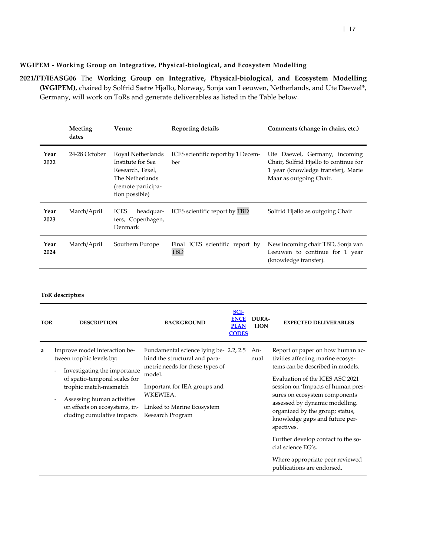### **WGIPEM - Working Group on Integrative, Physical-biological, and Ecosystem Modelling**

<span id="page-16-0"></span>**2021/FT/IEASG06** The **Working Group on Integrative, Physical-biological, and Ecosystem Modelling (WGIPEM)**, chaired by Solfrid Sætre Hjøllo, Norway, Sonja van Leeuwen, Netherlands, and Ute Daewel\*, Germany, will work on ToRs and generate deliverables as listed in the Table below.

|              | Meeting<br>dates | Venue                                                                                                                 | <b>Reporting details</b>                  | Comments (change in chairs, etc.)                                                                                                       |
|--------------|------------------|-----------------------------------------------------------------------------------------------------------------------|-------------------------------------------|-----------------------------------------------------------------------------------------------------------------------------------------|
| Year<br>2022 | 24-28 October    | Royal Netherlands<br>Institute for Sea<br>Research, Texel,<br>The Netherlands<br>(remote participa-<br>tion possible) | ICES scientific report by 1 Decem-<br>ber | Ute Daewel, Germany, incoming<br>Chair, Solfrid Hjøllo to continue for<br>1 year (knowledge transfer), Marie<br>Maar as outgoing Chair. |
| Year<br>2023 | March/April      | <b>ICES</b><br>headquar-<br>ters, Copenhagen,<br>Denmark                                                              | ICES scientific report by TBD             | Solfrid Hjøllo as outgoing Chair                                                                                                        |
| Year<br>2024 | March/April      | Southern Europe                                                                                                       | Final ICES scientific report by<br>TBD    | New incoming chair TBD, Sonja van<br>Leeuwen to continue for 1 year<br>(knowledge transfer).                                            |

| <b>TOR</b> | <b>DESCRIPTION</b>                                                                                                                                                                                                                                                                              | <b>BACKGROUND</b>                                                                                                                                                                                                  | SCI-<br><b>ENCE</b><br><b>PLAN</b><br><b>CODES</b> | DURA-<br><b>TION</b> | <b>EXPECTED DELIVERABLES</b>                                                                                                                                                                                                                                                                                                                                                                                                                                          |
|------------|-------------------------------------------------------------------------------------------------------------------------------------------------------------------------------------------------------------------------------------------------------------------------------------------------|--------------------------------------------------------------------------------------------------------------------------------------------------------------------------------------------------------------------|----------------------------------------------------|----------------------|-----------------------------------------------------------------------------------------------------------------------------------------------------------------------------------------------------------------------------------------------------------------------------------------------------------------------------------------------------------------------------------------------------------------------------------------------------------------------|
| a          | Improve model interaction be-<br>tween trophic levels by:<br>Investigating the importance<br>$\overline{\phantom{a}}$<br>of spatio-temporal scales for<br>trophic match-mismatch<br>Assessing human activities<br>$\overline{a}$<br>on effects on ecosystems, in-<br>cluding cumulative impacts | Fundamental science lying be- 2.2, 2.5<br>hind the structural and para-<br>metric needs for these types of<br>model.<br>Important for IEA groups and<br>WKEWIEA.<br>Linked to Marine Ecosystem<br>Research Program |                                                    | An-<br>nual          | Report or paper on how human ac-<br>tivities affecting marine ecosys-<br>tems can be described in models.<br>Evaluation of the ICES ASC 2021<br>session on 'Impacts of human pres-<br>sures on ecosystem components<br>assessed by dynamic modelling.<br>organized by the group; status,<br>knowledge gaps and future per-<br>spectives.<br>Further develop contact to the so-<br>cial science EG's.<br>Where appropriate peer reviewed<br>publications are endorsed. |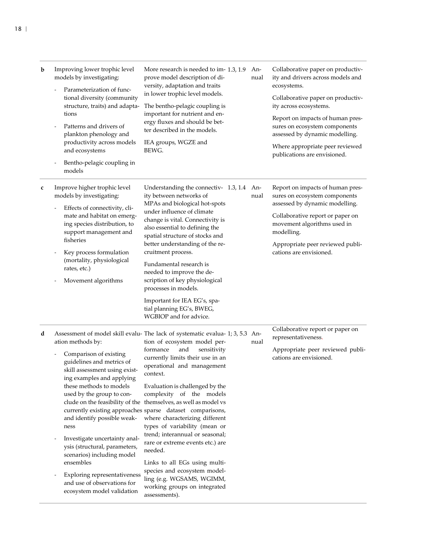| b | Improving lower trophic level<br>models by investigating:<br>Parameterization of func-<br>tional diversity (community<br>structure, traits) and adapta-<br>tions<br>Patterns and drivers of<br>plankton phenology and<br>productivity across models<br>and ecosystems<br>Bentho-pelagic coupling in<br>models                                                                                                                                   | More research is needed to im- 1.3, 1.9<br>prove model description of di-<br>versity, adaptation and traits<br>in lower trophic level models.<br>The bentho-pelagic coupling is<br>important for nutrient and en-<br>ergy fluxes and should be bet-<br>ter described in the models.<br>IEA groups, WGZE and<br>BEWG.                                                                                                                                                                                                                                                                                                                                                                                                             | An-<br>nual | Collaborative paper on productiv-<br>ity and drivers across models and<br>ecosystems.<br>Collaborative paper on productiv-<br>ity across ecosystems.<br>Report on impacts of human pres-<br>sures on ecosystem components<br>assessed by dynamic modelling.<br>Where appropriate peer reviewed<br>publications are envisioned. |
|---|-------------------------------------------------------------------------------------------------------------------------------------------------------------------------------------------------------------------------------------------------------------------------------------------------------------------------------------------------------------------------------------------------------------------------------------------------|----------------------------------------------------------------------------------------------------------------------------------------------------------------------------------------------------------------------------------------------------------------------------------------------------------------------------------------------------------------------------------------------------------------------------------------------------------------------------------------------------------------------------------------------------------------------------------------------------------------------------------------------------------------------------------------------------------------------------------|-------------|--------------------------------------------------------------------------------------------------------------------------------------------------------------------------------------------------------------------------------------------------------------------------------------------------------------------------------|
| c | Improve higher trophic level<br>models by investigating:<br>Effects of connectivity, cli-<br>mate and habitat on emerg-<br>ing species distribution, to<br>support management and<br>fisheries<br>Key process formulation<br>(mortality, physiological<br>rates, etc.)<br>Movement algorithms                                                                                                                                                   | Understanding the connectiv- 1.3, 1.4<br>ity between networks of<br>MPAs and biological hot-spots<br>under influence of climate<br>change is vital. Connectivity is<br>also essential to defining the<br>spatial structure of stocks and<br>better understanding of the re-<br>cruitment process.<br>Fundamental research is<br>needed to improve the de-<br>scription of key physiological<br>processes in models.<br>Important for IEA EG's, spa-<br>tial planning EG's, BWEG,<br>WGBIOP and for advice.                                                                                                                                                                                                                       | An-<br>nual | Report on impacts of human pres-<br>sures on ecosystem components<br>assessed by dynamic modelling.<br>Collaborative report or paper on<br>movement algorithms used in<br>modelling.<br>Appropriate peer reviewed publi-<br>cations are envisioned.                                                                            |
| d | ation methods by:<br>Comparison of existing<br>guidelines and metrics of<br>skill assessment using exist-<br>ing examples and applying<br>these methods to models<br>used by the group to con-<br>and identify possible weak-<br>ness<br>Investigate uncertainty anal-<br>ysis (structural, parameters,<br>scenarios) including model<br>ensembles<br>Exploring representativeness<br>and use of observations for<br>ecosystem model validation | Assessment of model skill evalu- The lack of systematic evalua- 1; 3, 5.3 An-<br>tion of ecosystem model per-<br>formance<br>and<br>sensitivity<br>currently limits their use in an<br>operational and management<br>context.<br>Evaluation is challenged by the<br>complexity of the models<br>clude on the feasibility of the themselves, as well as model vs<br>currently existing approaches sparse dataset comparisons,<br>where characterizing different<br>types of variability (mean or<br>trend; interannual or seasonal;<br>rare or extreme events etc.) are<br>needed.<br>Links to all EGs using multi-<br>species and ecosystem model-<br>ling (e.g. WGSAMS, WGIMM,<br>working groups on integrated<br>assessments). | nual        | Collaborative report or paper on<br>representativeness.<br>Appropriate peer reviewed publi-<br>cations are envisioned.                                                                                                                                                                                                         |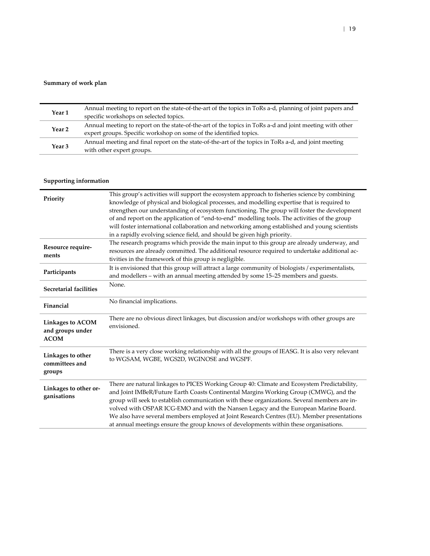### **Summary of work plan**

| Year 1 | Annual meeting to report on the state-of-the-art of the topics in ToRs a-d, planning of joint papers and<br>specific workshops on selected topics.                            |
|--------|-------------------------------------------------------------------------------------------------------------------------------------------------------------------------------|
| Year 2 | Annual meeting to report on the state-of-the-art of the topics in ToRs a-d and joint meeting with other<br>expert groups. Specific workshop on some of the identified topics. |
| Year 3 | Annual meeting and final report on the state-of-the-art of the topics in ToRs a-d, and joint meeting<br>with other expert groups.                                             |

| Priority                                                   | This group's activities will support the ecosystem approach to fisheries science by combining<br>knowledge of physical and biological processes, and modelling expertise that is required to<br>strengthen our understanding of ecosystem functioning. The group will foster the development<br>of and report on the application of "end-to-end" modelling tools. The activities of the group<br>will foster international collaboration and networking among established and young scientists<br>in a rapidly evolving science field, and should be given high priority. |
|------------------------------------------------------------|---------------------------------------------------------------------------------------------------------------------------------------------------------------------------------------------------------------------------------------------------------------------------------------------------------------------------------------------------------------------------------------------------------------------------------------------------------------------------------------------------------------------------------------------------------------------------|
| Resource require-<br>ments                                 | The research programs which provide the main input to this group are already underway, and<br>resources are already committed. The additional resource required to undertake additional ac-<br>tivities in the framework of this group is negligible.                                                                                                                                                                                                                                                                                                                     |
| Participants                                               | It is envisioned that this group will attract a large community of biologists / experimentalists,<br>and modellers - with an annual meeting attended by some 15-25 members and guests.                                                                                                                                                                                                                                                                                                                                                                                    |
| Secretarial facilities                                     | None.                                                                                                                                                                                                                                                                                                                                                                                                                                                                                                                                                                     |
| Financial                                                  | No financial implications.                                                                                                                                                                                                                                                                                                                                                                                                                                                                                                                                                |
| <b>Linkages to ACOM</b><br>and groups under<br><b>ACOM</b> | There are no obvious direct linkages, but discussion and/or workshops with other groups are<br>envisioned.                                                                                                                                                                                                                                                                                                                                                                                                                                                                |
| Linkages to other<br>committees and<br>groups              | There is a very close working relationship with all the groups of IEASG. It is also very relevant<br>to WGSAM, WGBE, WGS2D, WGINOSE and WGSPF.                                                                                                                                                                                                                                                                                                                                                                                                                            |
| Linkages to other or-<br>ganisations                       | There are natural linkages to PICES Working Group 40: Climate and Ecosystem Predictability,<br>and Joint IMBeR/Future Earth Coasts Continental Margins Working Group (CMWG), and the<br>group will seek to establish communication with these organizations. Several members are in-<br>volved with OSPAR ICG-EMO and with the Nansen Legacy and the European Marine Board.<br>We also have several members employed at Joint Research Centres (EU). Member presentations<br>at annual meetings ensure the group knows of developments within these organisations.        |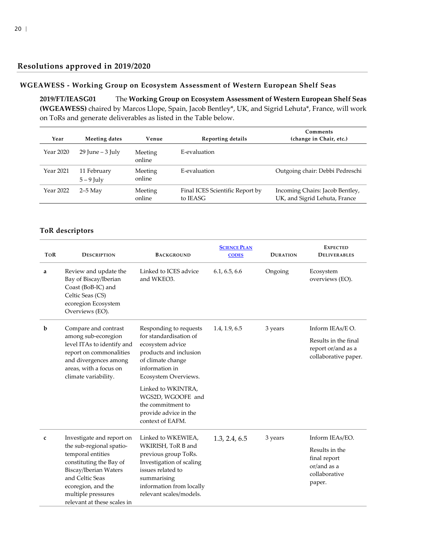## **Resolutions approved in 2019/2020**

### <span id="page-19-0"></span>**WGEAWESS - Working Group on Ecosystem Assessment of Western European Shelf Seas**

**2019/FT/IEASG01** The **Working Group on Ecosystem Assessment of Western European Shelf Seas (WGEAWESS)** chaired by Marcos Llope, Spain, Jacob Bentley\*, UK, and Sigrid Lehuta\*, France, will work on ToRs and generate deliverables as listed in the Table below.

<span id="page-19-1"></span>

| Year      | Meeting dates             | Venue             | Reporting details                           | Comments<br>(change in Chair, etc.)                              |
|-----------|---------------------------|-------------------|---------------------------------------------|------------------------------------------------------------------|
| Year 2020 | $29$ June – $3$ July      | Meeting<br>online | E-evaluation                                |                                                                  |
| Year 2021 | 11 February<br>$5-9$ July | Meeting<br>online | E-evaluation                                | Outgoing chair: Debbi Pedreschi                                  |
| Year 2022 | $2-5$ May                 | Meeting<br>online | Final ICES Scientific Report by<br>to IEASG | Incoming Chairs: Jacob Bentley,<br>UK, and Sigrid Lehuta, France |

| <b>TOR</b>  | <b>DESCRIPTION</b>                                                                                                                                                                              | <b>BACKGROUND</b>                                                                                                                                                 |               | <b>DURATION</b> | <b>EXPECTED</b><br><b>DELIVERABLES</b>                                   |  |
|-------------|-------------------------------------------------------------------------------------------------------------------------------------------------------------------------------------------------|-------------------------------------------------------------------------------------------------------------------------------------------------------------------|---------------|-----------------|--------------------------------------------------------------------------|--|
| a           | Review and update the<br>Bay of Biscay/Iberian<br>Coast (BoB-IC) and<br>Celtic Seas (CS)<br>ecoregion Ecosystem<br>Overviews (EO).                                                              | Linked to ICES advice<br>and WKEO3.                                                                                                                               | 6.1, 6.5, 6.6 | Ongoing         | Ecosystem<br>overviews (EO).                                             |  |
| b           | Compare and contrast<br>among sub-ecoregion                                                                                                                                                     | Responding to requests<br>for standardisation of                                                                                                                  | 1.4, 1.9, 6.5 | 3 years         | Inform IEAs/E O.                                                         |  |
|             | level ITAs to identify and<br>report on commonalities<br>and divergences among<br>areas, with a focus on<br>climate variability.                                                                | ecosystem advice<br>products and inclusion<br>of climate change<br>information in<br>Ecosystem Overviews.                                                         |               |                 | Results in the final<br>report or/and as a<br>collaborative paper.       |  |
|             |                                                                                                                                                                                                 | Linked to WKINTRA,<br>WGS2D, WGOOFE and<br>the commitment to<br>provide advice in the<br>context of EAFM.                                                         |               |                 |                                                                          |  |
| $\mathbf c$ | Investigate and report on                                                                                                                                                                       | Linked to WKEWIEA,                                                                                                                                                | 1.3, 2.4, 6.5 | 3 years         | Inform IEAs/EO.                                                          |  |
|             | the sub-regional spatio-<br>temporal entities<br>constituting the Bay of<br>Biscay/Iberian Waters<br>and Celtic Seas<br>ecoregion, and the<br>multiple pressures<br>relevant at these scales in | WKIRISH, ToR B and<br>previous group ToRs.<br>Investigation of scaling<br>issues related to<br>summarising<br>information from locally<br>relevant scales/models. |               |                 | Results in the<br>final report<br>or/and as a<br>collaborative<br>paper. |  |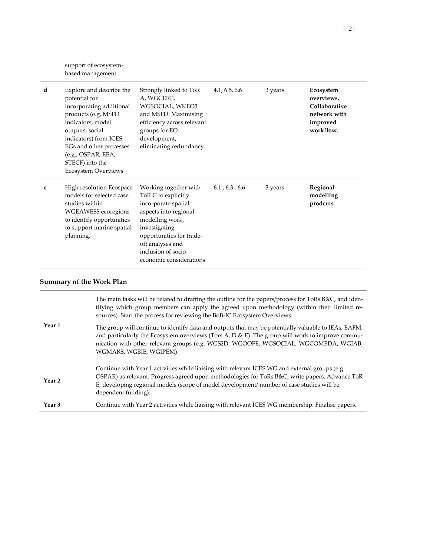|   | support of ecosystem-<br>based management.                                                                                                                                                                                                                      |                                                                                                                                                                                                                                    |               |         |                                                                                   |
|---|-----------------------------------------------------------------------------------------------------------------------------------------------------------------------------------------------------------------------------------------------------------------|------------------------------------------------------------------------------------------------------------------------------------------------------------------------------------------------------------------------------------|---------------|---------|-----------------------------------------------------------------------------------|
| d | Explore and describe the<br>potential for<br>incorporating additional<br>products (e.g. MSFD<br>indicators, model<br>outputs, social<br>indicators) from ICES<br>EGs and other processes<br>(e.g., OSPAR, EEA,<br>STECF) into the<br><b>Ecosystem Overviews</b> | Strongly linked to ToR<br>A, WGCERP,<br>WGSOCIAL, WKEO3<br>and MSFD. Maximising<br>efficiency across relevant<br>groups for EO<br>development,<br>eliminating redundancy.                                                          | 4.1, 6.5, 6.6 | 3 years | Ecosystem<br>overviews.<br>Collaborative<br>network with<br>improved<br>workflow. |
| e | High resolution Ecospace<br>models for selected case<br>studies within<br>WGEAWESS ecoregions<br>to identify opportunities<br>to support marine spatial<br>planning.                                                                                            | Working together with<br>ToR C to explicitly<br>incorporate spatial<br>aspects into regional<br>modelling work,<br>investigating<br>opportunities for trade-<br>off analyses and<br>inclusion of socio-<br>economic considerations | 6.1, 6.3, 6.6 | 3 years | Regional<br>modelling<br>prodcuts                                                 |

|                   | The main tasks will be related to drafting the outline for the papers/process for ToRs B&C, and iden-<br>tifying which group members can apply the agreed upon methodology (within their limited re-<br>sources). Start the process for reviewing the BoB-IC Ecosystem Overviews.                                         |
|-------------------|---------------------------------------------------------------------------------------------------------------------------------------------------------------------------------------------------------------------------------------------------------------------------------------------------------------------------|
| Year 1            | The group will continue to identify data and outputs that may be potentially valuable to IEAs, EAFM,<br>and particularly the Ecosystem overviews (Tors A, D & E). The group will work to improve commu-<br>nication with other relevant groups (e.g. WGS2D, WGOOFE, WGSOCIAL, WGCOMEDA, WGIAB,<br>WGMARS, WGBIE, WGIPEM). |
| Year <sub>2</sub> | Continue with Year 1 activities while liaising with relevant ICES WG and external groups (e.g.<br>OSPAR) as relevant. Progress agreed upon methodologies for ToRs B&C, write papers. Advance ToR<br>E, developing regional models (scope of model development/ number of case studies will be<br>dependent funding).      |
| Year <sub>3</sub> | Continue with Year 2 activities while liaising with relevant ICES WG membership. Finalise papers.                                                                                                                                                                                                                         |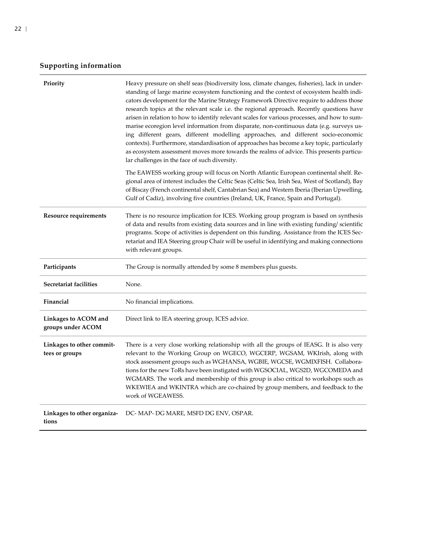| Priority                                    | Heavy pressure on shelf seas (biodiversity loss, climate changes, fisheries), lack in under-<br>standing of large marine ecosystem functioning and the context of ecosystem health indi-<br>cators development for the Marine Strategy Framework Directive require to address those<br>research topics at the relevant scale i.e. the regional approach. Recently questions have<br>arisen in relation to how to identify relevant scales for various processes, and how to sum-<br>marise ecoregion level information from disparate, non-continuous data (e.g. surveys us-<br>ing different gears, different modelling approaches, and different socio-economic<br>contexts). Furthermore, standardisation of approaches has become a key topic, particularly<br>as ecosystem assessment moves more towards the realms of advice. This presents particu-<br>lar challenges in the face of such diversity. |
|---------------------------------------------|-------------------------------------------------------------------------------------------------------------------------------------------------------------------------------------------------------------------------------------------------------------------------------------------------------------------------------------------------------------------------------------------------------------------------------------------------------------------------------------------------------------------------------------------------------------------------------------------------------------------------------------------------------------------------------------------------------------------------------------------------------------------------------------------------------------------------------------------------------------------------------------------------------------|
|                                             | The EAWESS working group will focus on North Atlantic European continental shelf. Re-<br>gional area of interest includes the Celtic Seas (Celtic Sea, Irish Sea, West of Scotland), Bay<br>of Biscay (French continental shelf, Cantabrian Sea) and Western Iberia (Iberian Upwelling,<br>Gulf of Cadiz), involving five countries (Ireland, UK, France, Spain and Portugal).                                                                                                                                                                                                                                                                                                                                                                                                                                                                                                                              |
| Resource requirements                       | There is no resource implication for ICES. Working group program is based on synthesis<br>of data and results from existing data sources and in line with existing funding/scientific<br>programs. Scope of activities is dependent on this funding. Assistance from the ICES Sec-<br>retariat and IEA Steering group Chair will be useful in identifying and making connections<br>with relevant groups.                                                                                                                                                                                                                                                                                                                                                                                                                                                                                                   |
| Participants                                | The Group is normally attended by some 8 members plus guests.                                                                                                                                                                                                                                                                                                                                                                                                                                                                                                                                                                                                                                                                                                                                                                                                                                               |
| Secretariat facilities                      | None.                                                                                                                                                                                                                                                                                                                                                                                                                                                                                                                                                                                                                                                                                                                                                                                                                                                                                                       |
| Financial                                   | No financial implications.                                                                                                                                                                                                                                                                                                                                                                                                                                                                                                                                                                                                                                                                                                                                                                                                                                                                                  |
| Linkages to ACOM and<br>groups under ACOM   | Direct link to IEA steering group, ICES advice.                                                                                                                                                                                                                                                                                                                                                                                                                                                                                                                                                                                                                                                                                                                                                                                                                                                             |
| Linkages to other commit-<br>tees or groups | There is a very close working relationship with all the groups of IEASG. It is also very<br>relevant to the Working Group on WGECO, WGCERP, WGSAM, WKIrish, along with<br>stock assessment groups such as WGHANSA, WGBIE, WGCSE, WGMIXFISH. Collabora-<br>tions for the new ToRs have been instigated with WGSOCIAL, WGS2D, WGCOMEDA and<br>WGMARS. The work and membership of this group is also critical to workshops such as<br>WKEWIEA and WKINTRA which are co-chaired by group members, and feedback to the<br>work of WGEAWESS.                                                                                                                                                                                                                                                                                                                                                                      |
| Linkages to other organiza-<br>tions        | DC- MAP- DG MARE, MSFD DG ENV, OSPAR.                                                                                                                                                                                                                                                                                                                                                                                                                                                                                                                                                                                                                                                                                                                                                                                                                                                                       |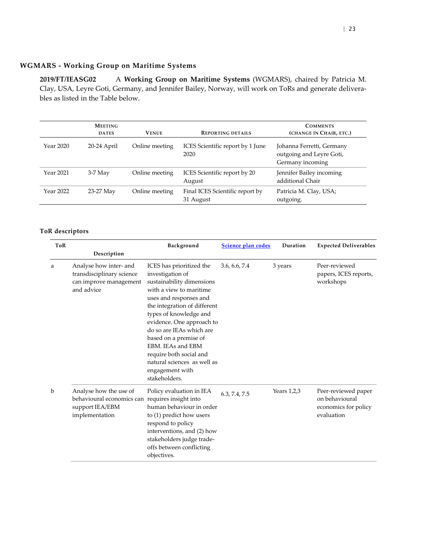### **WGMARS - Working Group on Maritime Systems**

<span id="page-22-0"></span>**2019/FT/IEASG02** A **Working Group on Maritime Systems** (WGMARS), chaired by Patricia M. Clay, USA, Leyre Goti, Germany, and Jennifer Bailey, Norway, will work on ToRs and generate deliverables as listed in the Table below.

|           | <b>MEETING</b><br><b>DATES</b> | <b>VENUE</b>   | <b>REPORTING DETAILS</b>                     | <b>COMMENTS</b><br>(CHANGE IN CHAIR, ETC.)                                |
|-----------|--------------------------------|----------------|----------------------------------------------|---------------------------------------------------------------------------|
| Year 2020 | 20-24 April                    | Online meeting | ICES Scientific report by 1 June<br>2020     | Johanna Ferretti, Germany<br>outgoing and Leyre Goti,<br>Germany incoming |
| Year 2021 | $3-7$ May                      | Online meeting | ICES Scientific report by 20<br>August       | Jennifer Bailey incoming<br>additional Chair                              |
| Year 2022 | 23-27 May                      | Online meeting | Final ICES Scientific report by<br>31 August | Patricia M. Clay, USA;<br>outgoing.                                       |

| ToR |                                                                                                                                                                                                                                                                                                                                                                                                                                                                                              | Background                                                                                                                                                                                                  | Science plan codes | Duration    | <b>Expected Deliverables</b>                                                |
|-----|----------------------------------------------------------------------------------------------------------------------------------------------------------------------------------------------------------------------------------------------------------------------------------------------------------------------------------------------------------------------------------------------------------------------------------------------------------------------------------------------|-------------------------------------------------------------------------------------------------------------------------------------------------------------------------------------------------------------|--------------------|-------------|-----------------------------------------------------------------------------|
|     | Description                                                                                                                                                                                                                                                                                                                                                                                                                                                                                  |                                                                                                                                                                                                             |                    |             |                                                                             |
| a   | Analyse how inter- and<br>ICES has prioritized the<br>transdisciplinary science<br>investigation of<br>can improve management<br>sustainability dimensions<br>and advice<br>with a view to maritime<br>uses and responses and<br>the integration of different<br>types of knowledge and<br>evidence. One approach to<br>do so are IEAs which are<br>based on a premise of<br>EBM. IEAs and EBM<br>require both social and<br>natural sciences as well as<br>engagement with<br>stakeholders. |                                                                                                                                                                                                             | 3.6, 6.6, 7.4      | 3 years     | Peer-reviewed<br>papers, ICES reports,<br>workshops                         |
| b   | Analyse how the use of<br>behavioural economics can requires insight into<br>support IEA/EBM<br>implementation                                                                                                                                                                                                                                                                                                                                                                               | Policy evaluation in IEA<br>human behaviour in order<br>to (1) predict how users<br>respond to policy<br>interventions, and (2) how<br>stakeholders judge trade-<br>offs between conflicting<br>objectives. | 6.3, 7.4, 7.5      | Years 1,2,3 | Peer-reviewed paper<br>on behavioural<br>economics for policy<br>evaluation |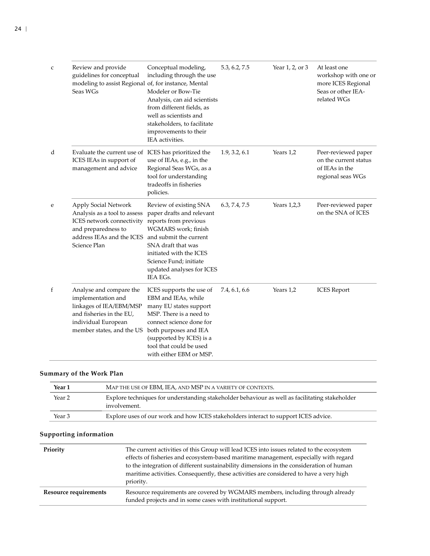| $\mathsf{C}$ | Review and provide<br>guidelines for conceptual<br>modeling to assist Regional of, for instance, Mental<br>Seas WGs                                      | Conceptual modeling,<br>including through the use<br>Modeler or Bow-Tie<br>Analysis, can aid scientists<br>from different fields, as<br>well as scientists and<br>stakeholders, to facilitate<br>improvements to their<br>IEA activities.                | 5.3, 6.2, 7.5 | Year 1, 2, or 3 | At least one<br>workshop with one or<br>more ICES Regional<br>Seas or other IEA-<br>related WGs |
|--------------|----------------------------------------------------------------------------------------------------------------------------------------------------------|----------------------------------------------------------------------------------------------------------------------------------------------------------------------------------------------------------------------------------------------------------|---------------|-----------------|-------------------------------------------------------------------------------------------------|
| d            | Evaluate the current use of ICES has prioritized the<br>ICES IEAs in support of<br>management and advice                                                 | use of IEAs, e.g., in the<br>Regional Seas WGs, as a<br>tool for understanding<br>tradeoffs in fisheries<br>policies.                                                                                                                                    | 1.9, 3.2, 6.1 | Years 1,2       | Peer-reviewed paper<br>on the current status<br>of IEAs in the<br>regional seas WGs             |
| e            | Apply Social Network<br>Analysis as a tool to assess<br>ICES network connectivity<br>and preparedness to<br>address IEAs and the ICES<br>Science Plan    | Review of existing SNA<br>paper drafts and relevant<br>reports from previous<br>WGMARS work; finish<br>and submit the current<br>SNA draft that was<br>initiated with the ICES<br>Science Fund; initiate<br>updated analyses for ICES<br><b>IEA EGs.</b> | 6.3, 7.4, 7.5 | Years $1,2,3$   | Peer-reviewed paper<br>on the SNA of ICES                                                       |
| f            | Analyse and compare the<br>implementation and<br>linkages of IEA/EBM/MSP<br>and fisheries in the EU,<br>individual European<br>member states, and the US | ICES supports the use of<br>EBM and IEAs, while<br>many EU states support<br>MSP. There is a need to<br>connect science done for<br>both purposes and IEA<br>(supported by ICES) is a<br>tool that could be used<br>with either EBM or MSP.              | 7.4, 6.1, 6.6 | Years 1,2       | <b>ICES</b> Report                                                                              |

| Year 1 | MAP THE USE OF EBM, IEA, AND MSP IN A VARIETY OF CONTEXTS.                                                     |
|--------|----------------------------------------------------------------------------------------------------------------|
| Year 2 | Explore techniques for understanding stakeholder behaviour as well as facilitating stakeholder<br>involvement. |
| Year 3 | Explore uses of our work and how ICES stakeholders interact to support ICES advice.                            |

| Priority                     | The current activities of this Group will lead ICES into issues related to the ecosystem<br>effects of fisheries and ecosystem-based maritime management, especially with regard<br>to the integration of different sustainability dimensions in the consideration of human<br>maritime activities. Consequently, these activities are considered to have a very high |  |  |  |
|------------------------------|-----------------------------------------------------------------------------------------------------------------------------------------------------------------------------------------------------------------------------------------------------------------------------------------------------------------------------------------------------------------------|--|--|--|
| <b>Resource requirements</b> | priority.<br>Resource requirements are covered by WGMARS members, including through already                                                                                                                                                                                                                                                                           |  |  |  |
|                              | funded projects and in some cases with institutional support.                                                                                                                                                                                                                                                                                                         |  |  |  |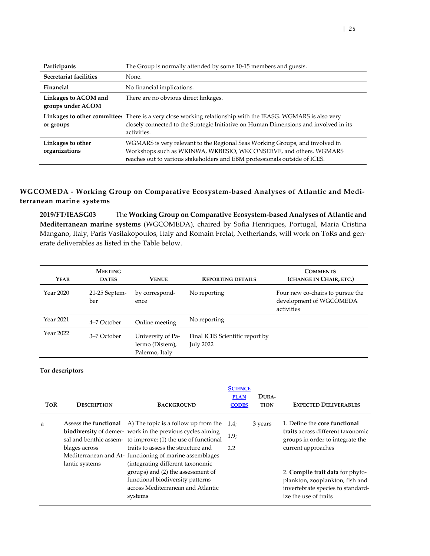| Participants                              | The Group is normally attended by some 10-15 members and guests.                                                                                                                                                                |
|-------------------------------------------|---------------------------------------------------------------------------------------------------------------------------------------------------------------------------------------------------------------------------------|
| Secretariat facilities                    | None.                                                                                                                                                                                                                           |
| Financial                                 | No financial implications.                                                                                                                                                                                                      |
| Linkages to ACOM and<br>groups under ACOM | There are no obvious direct linkages.                                                                                                                                                                                           |
| or groups                                 | Linkages to other committees There is a very close working relationship with the IEASG. WGMARS is also very<br>closely connected to the Strategic Initiative on Human Dimensions and involved in its<br>activities.             |
| Linkages to other<br>organizations        | WGMARS is very relevant to the Regional Seas Working Groups, and involved in<br>Workshops such as WKINWA, WKBESIO, WKCONSERVE, and others. WGMARS<br>reaches out to various stakeholders and EBM professionals outside of ICES. |

### **WGCOMEDA - Working Group on Comparative Ecosystem-based Analyses of Atlantic and Mediterranean marine systems**

<span id="page-24-0"></span>**2019/FT/IEASG03** The **Working Group on Comparative Ecosystem-based Analyses of Atlantic and Mediterranean marine systems** (WGCOMEDA), chaired by Sofia Henriques, Portugal, Maria Cristina Mangano, Italy, Paris Vasilakopoulos, Italy and Romain Frelat, Netherlands, will work on ToRs and generate deliverables as listed in the Table below.

| YEAR      | <b>MEETING</b><br><b>DATES</b> | <b>VENUE</b>                                           | <b>REPORTING DETAILS</b>                     | <b>COMMENTS</b><br>(CHANGE IN CHAIR, ETC.)                                |
|-----------|--------------------------------|--------------------------------------------------------|----------------------------------------------|---------------------------------------------------------------------------|
| Year 2020 | 21-25 Septem-<br>ber           | by correspond-<br>ence                                 | No reporting                                 | Four new co-chairs to pursue the<br>development of WGCOMEDA<br>activities |
| Year 2021 | 4–7 October                    | Online meeting                                         | No reporting                                 |                                                                           |
| Year 2022 | 3–7 October                    | University of Pa-<br>lermo (Distem),<br>Palermo, Italy | Final ICES Scientific report by<br>July 2022 |                                                                           |

| <b>TOR</b> | <b>DESCRIPTION</b> | <b>BACKGROUND</b>                                                                                                                                                                                                                           | <b>SCIENCE</b><br><b>PLAN</b><br><b>CODES</b> | DURA-<br><b>TION</b> | <b>EXPECTED DELIVERABLES</b>                                                                                                      |
|------------|--------------------|---------------------------------------------------------------------------------------------------------------------------------------------------------------------------------------------------------------------------------------------|-----------------------------------------------|----------------------|-----------------------------------------------------------------------------------------------------------------------------------|
| a          | blages across      | Assess the <b>functional</b> A) The topic is a follow up from the<br><b>biodiversity</b> of demer- work in the previous cycles aiming<br>sal and benthic assem- to improve: (1) the use of functional<br>traits to assess the structure and | 1.4:<br>1.9 <sub>i</sub><br>2.2               | 3 years              | 1. Define the core functional<br>traits across different taxonomic<br>groups in order to integrate the<br>current approaches      |
|            | lantic systems     | Mediterranean and At-functioning of marine assemblages<br>(integrating different taxonomic<br>groups) and (2) the assessment of<br>functional biodiversity patterns<br>across Mediterranean and Atlantic<br>systems                         |                                               |                      | 2. Compile trait data for phyto-<br>plankton, zooplankton, fish and<br>invertebrate species to standard-<br>ize the use of traits |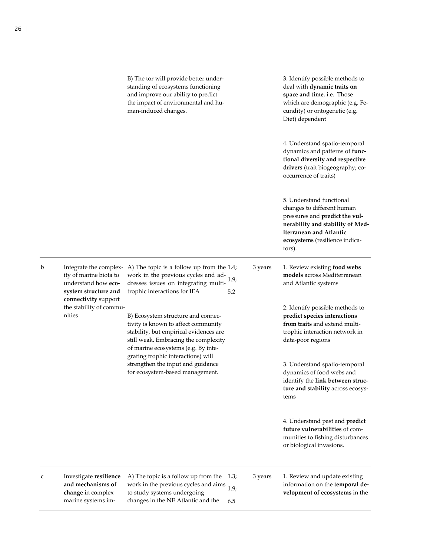B) The tor will provide better understanding of ecosystems functioning and improve our ability to predict the impact of environmental and human-induced changes.

3. Identify possible methods to deal with **dynamic traits on space and time**, i.e. Those which are demographic (e.g. Fecundity) or ontogenetic (e.g. Diet) dependent

4. Understand spatio-temporal dynamics and patterns of **functional diversity and respective drivers** (trait biogeography; cooccurrence of traits)

5. Understand functional changes to different human pressures and **predict the vulnerability and stability of Mediterranean and Atlantic ecosystems** (resilience indicators).

ity of marine biota to understand how **ecosystem structure and connectivity** support the stability of commu-

nities

b Integrate the complex-A) The topic is a follow up from the 1.4; work in the previous cycles and ad-<br>decays issues an integrating modul 1.9; dresses issues on integrating multitrophic interactions for IEA 5.2

> B) Ecosystem structure and connectivity is known to affect community stability, but empirical evidences are still weak. Embracing the complexity of marine ecosystems (e.g. By integrating trophic interactions) will strengthen the input and guidance for ecosystem-based management.

**models** across Mediterranean and Atlantic systems 2. Identify possible methods to

3 years 1. Review existing **food webs** 

**predict species interactions from traits** and extend multitrophic interaction network in data-poor regions

3. Understand spatio-temporal dynamics of food webs and identify the **link between structure and stability** across ecosystems

4. Understand past and **predict future vulnerabilities** of communities to fishing disturbances or biological invasions.

- c Investigate **resilience and mechanisms of change** in complex marine systems im-
- A) The topic is a follow up from the 1.3; work in the previous cycles and aims to study systems undergoing changes in the NE Atlantic and the 1.9; 6.5

3 years 1. Review and update existing information on the **temporal development of ecosystems** in the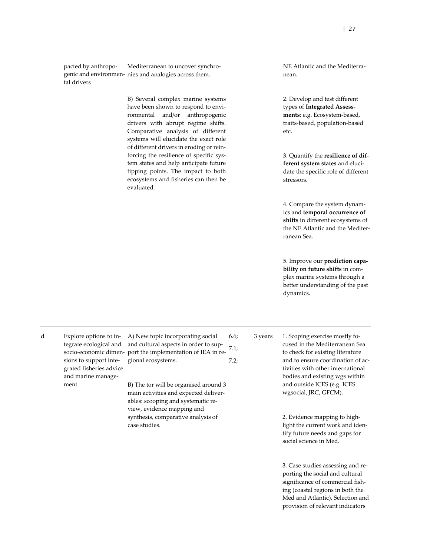pacted by anthropogenic and environmen-nies and analogies across them. tal drivers Mediterranean to uncover synchro-

> B) Several complex marine systems have been shown to respond to environmental and/or anthropogenic drivers with abrupt regime shifts. Comparative analysis of different systems will elucidate the exact role of different drivers in eroding or reinforcing the resilience of specific system states and help anticipate future tipping points. The impact to both ecosystems and fisheries can then be evaluated.

NE Atlantic and the Mediterranean.

2. Develop and test different types of **Integrated Assessments**: e.g. Ecosystem-based, traits-based, population-based etc.

3. Quantify the **resilience of different system states** and elucidate the specific role of different stressors.

4. Compare the system dynamics and **temporal occurrence of shifts** in different ecosystems of the NE Atlantic and the Mediterranean Sea.

5. Improve our **prediction capability on future shifts** in complex marine systems through a better understanding of the past dynamics.

d Explore options to integrate ecological and socio-economic dimensions to support integrated fisheries advice and marine management

A) New topic incorporating social and cultural aspects in order to support the implementation of IEA in regional ecosystems. 6.6; 7.1; 7.2;

B) The tor will be organised around 3 main activities and expected deliverables: scooping and systematic review, evidence mapping and synthesis, comparative analysis of case studies.

3 years 1. Scoping exercise mostly focused in the Mediterranean Sea to check for existing literature and to ensure coordination of activities with other international bodies and existing wgs within and outside ICES (e.g. ICES wgsocial, JRC, GFCM).

> 2. Evidence mapping to highlight the current work and identify future needs and gaps for social science in Med.

3. Case studies assessing and reporting the social and cultural significance of commercial fishing (coastal regions in both the Med and Atlantic). Selection and provision of relevant indicators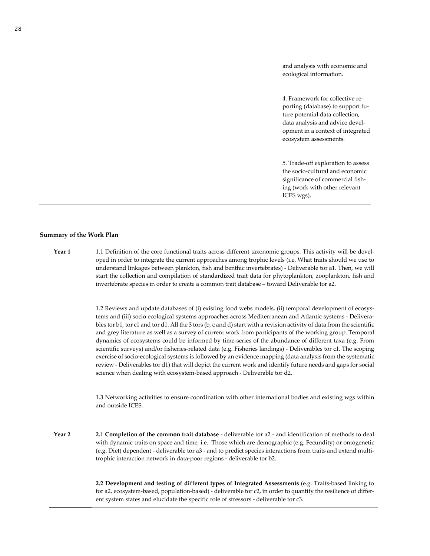and analysis with economic and ecological information.

4. Framework for collective reporting (database) to support future potential data collection, data analysis and advice development in a context of integrated ecosystem assessments.

5. Trade-off exploration to assess the socio-cultural and economic significance of commercial fishing (work with other relevant ICES wgs).

#### **Summary of the Work Plan**

**Year 1** 1.1 Definition of the core functional traits across different taxonomic groups. This activity will be developed in order to integrate the current approaches among trophic levels (i.e. What traits should we use to understand linkages between plankton, fish and benthic invertebrates) - Deliverable tor a1. Then, we will start the collection and compilation of standardized trait data for phytoplankton, zooplankton, fish and invertebrate species in order to create a common trait database – toward Deliverable tor a2.

> 1.2 Reviews and update databases of (i) existing food webs models, (ii) temporal development of ecosystems and (iii) socio ecological systems approaches across Mediterranean and Atlantic systems - Deliverables tor b1, tor c1 and tor d1. All the 3 tors (b, c and d) start with a revision activity of data from the scientific and grey literature as well as a survey of current work from participants of the working group. Temporal dynamics of ecosystems could be informed by time-series of the abundance of different taxa (e.g. From scientific surveys) and/or fisheries-related data (e.g. Fisheries landings) - Deliverables tor c1. The scoping exercise of socio-ecological systems is followed by an evidence mapping (data analysis from the systematic review - Deliverables tor d1) that will depict the current work and identify future needs and gaps for social science when dealing with ecosystem-based approach - Deliverable tor d2.

> 1.3 Networking activities to ensure coordination with other international bodies and existing wgs within and outside ICES.

**Year 2 2.1 Completion of the common trait database** - deliverable tor a2 - and identification of methods to deal with dynamic traits on space and time, i.e. Those which are demographic (e.g. Fecundity) or ontogenetic (e.g. Diet) dependent - deliverable tor a3 - and to predict species interactions from traits and extend multitrophic interaction network in data-poor regions - deliverable tor b2.

> **2.2 Development and testing of different types of Integrated Assessments** (e.g. Traits-based linking to tor a2, ecosystem-based, population-based) - deliverable tor c2, in order to quantify the resilience of different system states and elucidate the specific role of stressors - deliverable tor c3.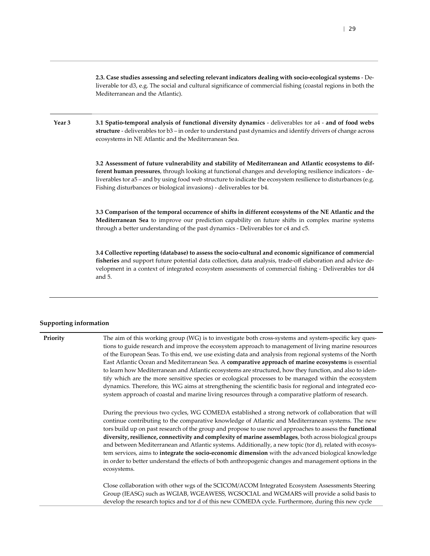**2.3. Case studies assessing and selecting relevant indicators dealing with socio-ecological systems** - Deliverable tor d3, e.g. The social and cultural significance of commercial fishing (coastal regions in both the Mediterranean and the Atlantic).

**Year 3 3.1 Spatio-temporal analysis of functional diversity dynamics** - deliverables tor a4 - **and of food webs structure** - deliverables tor b3 – in order to understand past dynamics and identify drivers of change across ecosystems in NE Atlantic and the Mediterranean Sea.

> **3.2 Assessment of future vulnerability and stability of Mediterranean and Atlantic ecosystems to different human pressures**, through looking at functional changes and developing resilience indicators - deliverables tor a5 – and by using food web structure to indicate the ecosystem resilience to disturbances (e.g. Fishing disturbances or biological invasions) - deliverables tor b4.

> **3.3 Comparison of the temporal occurrence of shifts in different ecosystems of the NE Atlantic and the Mediterranean Sea** to improve our prediction capability on future shifts in complex marine systems through a better understanding of the past dynamics - Deliverables tor c4 and c5.

> **3.4 Collective reporting (database) to assess the socio-cultural and economic significance of commercial fisheries** and support future potential data collection, data analysis, trade-off elaboration and advice development in a context of integrated ecosystem assessments of commercial fishing - Deliverables tor d4 and 5.

#### **Supporting information**

**Priority** The aim of this working group (WG) is to investigate both cross-systems and system-specific key questions to guide research and improve the ecosystem approach to management of living marine resources of the European Seas. To this end, we use existing data and analysis from regional systems of the North East Atlantic Ocean and Mediterranean Sea. A **comparative approach of marine ecosystems** is essential to learn how Mediterranean and Atlantic ecosystems are structured, how they function, and also to identify which are the more sensitive species or ecological processes to be managed within the ecosystem dynamics. Therefore, this WG aims at strengthening the scientific basis for regional and integrated ecosystem approach of coastal and marine living resources through a comparative platform of research. During the previous two cycles, WG COMEDA established a strong network of collaboration that will continue contributing to the comparative knowledge of Atlantic and Mediterranean systems. The new tors build up on past research of the group and propose to use novel approaches to assess the **functional diversity, resilience, connectivity and complexity of marine assemblages**, both across biological groups and between Mediterranean and Atlantic systems. Additionally, a new topic (tor d), related with ecosystem services, aims to **integrate the socio-economic dimension** with the advanced biological knowledge in order to better understand the effects of both anthropogenic changes and management options in the ecosystems. Close collaboration with other wgs of the SCICOM/ACOM Integrated Ecosystem Assessments Steering Group (IEASG) such as WGIAB, WGEAWESS, WGSOCIAL and WGMARS will provide a solid basis to develop the research topics and tor d of this new COMEDA cycle. Furthermore, during this new cycle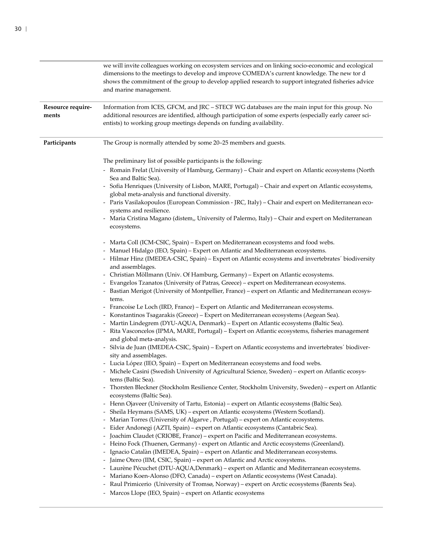|                            | we will invite colleagues working on ecosystem services and on linking socio-economic and ecological<br>dimensions to the meetings to develop and improve COMEDA's current knowledge. The new tor d<br>shows the commitment of the group to develop applied research to support integrated fisheries advice<br>and marine management.                                                                                                                                                                                                                                                                                                                                                                                                                                                                                                                                                                                                                                                                                                                                                                                                                                                                                                                                                                                                                                                                                                                                                                                                                                                                                                                                                                                                                                                                                                                                                                                                                                                                                                                                                                                                                                                                                                                                                                                                                                                                                                                                                                                                                                                                                                                                                                                                                                                                                                                                                                                                                                                                                                                                                                                                                                                                 |
|----------------------------|-------------------------------------------------------------------------------------------------------------------------------------------------------------------------------------------------------------------------------------------------------------------------------------------------------------------------------------------------------------------------------------------------------------------------------------------------------------------------------------------------------------------------------------------------------------------------------------------------------------------------------------------------------------------------------------------------------------------------------------------------------------------------------------------------------------------------------------------------------------------------------------------------------------------------------------------------------------------------------------------------------------------------------------------------------------------------------------------------------------------------------------------------------------------------------------------------------------------------------------------------------------------------------------------------------------------------------------------------------------------------------------------------------------------------------------------------------------------------------------------------------------------------------------------------------------------------------------------------------------------------------------------------------------------------------------------------------------------------------------------------------------------------------------------------------------------------------------------------------------------------------------------------------------------------------------------------------------------------------------------------------------------------------------------------------------------------------------------------------------------------------------------------------------------------------------------------------------------------------------------------------------------------------------------------------------------------------------------------------------------------------------------------------------------------------------------------------------------------------------------------------------------------------------------------------------------------------------------------------------------------------------------------------------------------------------------------------------------------------------------------------------------------------------------------------------------------------------------------------------------------------------------------------------------------------------------------------------------------------------------------------------------------------------------------------------------------------------------------------------------------------------------------------------------------------------------------------|
| Resource require-<br>ments | Information from ICES, GFCM, and JRC - STECF WG databases are the main input for this group. No<br>additional resources are identified, although participation of some experts (especially early career sci-<br>entists) to working group meetings depends on funding availability.                                                                                                                                                                                                                                                                                                                                                                                                                                                                                                                                                                                                                                                                                                                                                                                                                                                                                                                                                                                                                                                                                                                                                                                                                                                                                                                                                                                                                                                                                                                                                                                                                                                                                                                                                                                                                                                                                                                                                                                                                                                                                                                                                                                                                                                                                                                                                                                                                                                                                                                                                                                                                                                                                                                                                                                                                                                                                                                   |
| Participants               | The Group is normally attended by some 20–25 members and guests.                                                                                                                                                                                                                                                                                                                                                                                                                                                                                                                                                                                                                                                                                                                                                                                                                                                                                                                                                                                                                                                                                                                                                                                                                                                                                                                                                                                                                                                                                                                                                                                                                                                                                                                                                                                                                                                                                                                                                                                                                                                                                                                                                                                                                                                                                                                                                                                                                                                                                                                                                                                                                                                                                                                                                                                                                                                                                                                                                                                                                                                                                                                                      |
|                            | The preliminary list of possible participants is the following:<br>- Romain Frelat (University of Hamburg, Germany) - Chair and expert on Atlantic ecosystems (North<br>Sea and Baltic Sea).<br>Sofia Henriques (University of Lisbon, MARE, Portugal) - Chair and expert on Atlantic ecosystems,<br>$\overline{\phantom{a}}$<br>global meta-analysis and functional diversity.<br>- Paris Vasilakopoulos (European Commission - JRC, Italy) - Chair and expert on Mediterranean eco-<br>systems and resilience.<br>Maria Cristina Magano (distem,, University of Palermo, Italy) - Chair and expert on Mediterranean<br>ecosystems.<br>- Marta Coll (ICM-CSIC, Spain) – Expert on Mediterranean ecosystems and food webs.<br>- Manuel Hidalgo (IEO, Spain) - Expert on Atlantic and Mediterranean ecosystems.<br>- Hilmar Hinz (IMEDEA-CSIC, Spain) - Expert on Atlantic ecosystems and invertebrates' biodiversity<br>and assemblages.<br>- Christian Möllmann (Univ. Of Hamburg, Germany) - Expert on Atlantic ecosystems.<br>- Evangelos Tzanatos (University of Patras, Greece) - expert on Mediterranean ecosystems.<br>Bastian Merigot (University of Montpellier, France) - expert on Atlantic and Mediterranean ecosys-<br>-<br>tems.<br>- Francoise Le Loch (IRD, France) - Expert on Atlantic and Mediterranean ecosystems.<br>- Konstantinos Tsagarakis (Greece) - Expert on Mediterranean ecosystems (Aegean Sea).<br>- Martin Lindegrem (DYU-AQUA, Denmark) - Expert on Atlantic ecosystems (Baltic Sea).<br>- Rita Vasconcelos (IPMA, MARE, Portugal) - Expert on Atlantic ecosystems, fisheries management<br>and global meta-analysis.<br>Silvia de Juan (IMEDEA-CSIC, Spain) - Expert on Atlantic ecosystems and invertebrates' biodiver-<br>sity and assemblages.<br>- Lucia López (IEO, Spain) - Expert on Mediterranean ecosystems and food webs.<br>- Michele Casini (Swedish University of Agricultural Science, Sweden) - expert on Atlantic ecosys-<br>tems (Baltic Sea).<br>Thorsten Bleckner (Stockholm Resilience Center, Stockholm University, Sweden) - expert on Atlantic<br>ecosystems (Baltic Sea).<br>- Henn Ojaveer (University of Tartu, Estonia) - expert on Atlantic ecosystems (Baltic Sea).<br>Sheila Heymans (SAMS, UK) - expert on Atlantic ecosystems (Western Scotland).<br>- Marian Torres (University of Algarve, Portugal) - expert on Atlantic ecosystems.<br>Eider Andonegi (AZTI, Spain) - expert on Atlantic ecosystems (Cantabric Sea).<br>Joachim Claudet (CRIOBE, France) - expert on Pacific and Mediterranean ecosystems.<br>- Heino Fock (Thuenen, Germany) - expert on Atlantic and Arctic ecosystems (Greenland).<br>- Ignacio Catalàn (IMEDEA, Spain) – expert on Atlantic and Mediterranean ecosystems.<br>- Jaime Otero (IIM, CSIC, Spain) – expert on Atlantic and Arctic ecosystems.<br>- Laurène Pécuchet (DTU-AQUA, Denmark) – expert on Atlantic and Mediterranean ecosystems.<br>Mariano Koen-Alonso (DFO, Canada) – expert on Atlantic ecosystems (West Canada).<br>- Raul Primicerio (University of Tromsø, Norway) - expert on Arctic ecosystems (Barents Sea).<br>- Marcos Llope (IEO, Spain) – expert on Atlantic ecosystems |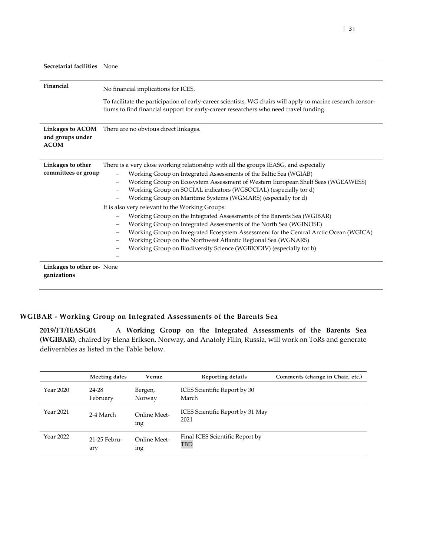| Secretariat facilities None              |                                                                                                                                                                                                                                                                                                                                                                                                                                                                                                                                                                                                                                                                                                                               |  |  |
|------------------------------------------|-------------------------------------------------------------------------------------------------------------------------------------------------------------------------------------------------------------------------------------------------------------------------------------------------------------------------------------------------------------------------------------------------------------------------------------------------------------------------------------------------------------------------------------------------------------------------------------------------------------------------------------------------------------------------------------------------------------------------------|--|--|
| Financial                                | No financial implications for ICES.<br>To facilitate the participation of early-career scientists, WG chairs will apply to marine research consor-<br>tiums to find financial support for early-career researchers who need travel funding.                                                                                                                                                                                                                                                                                                                                                                                                                                                                                   |  |  |
| and groups under<br><b>ACOM</b>          | Linkages to ACOM There are no obvious direct linkages.                                                                                                                                                                                                                                                                                                                                                                                                                                                                                                                                                                                                                                                                        |  |  |
| Linkages to other<br>committees or group | There is a very close working relationship with all the groups IEASG, and especially<br>Working Group on Integrated Assessments of the Baltic Sea (WGIAB)<br>Working Group on Ecosystem Assessment of Western European Shelf Seas (WGEAWESS)<br>Working Group on SOCIAL indicators (WGSOCIAL) (especially tor d)<br>Working Group on Maritime Systems (WGMARS) (especially tor d)<br>It is also very relevant to the Working Groups:<br>Working Group on the Integrated Assessments of the Barents Sea (WGIBAR)<br>Working Group on Integrated Assessments of the North Sea (WGINOSE)<br>Working Group on the Northwest Atlantic Regional Sea (WGNARS)<br>Working Group on Biodiversity Science (WGBIODIV) (especially tor b) |  |  |
| Linkages to other or None<br>ganizations | Working Group on Integrated Ecosystem Assessment for the Central Arctic Ocean (WGICA)                                                                                                                                                                                                                                                                                                                                                                                                                                                                                                                                                                                                                                         |  |  |

## **WGIBAR - Working Group on Integrated Assessments of the Barents Sea**

<span id="page-30-0"></span>**2019/FT/IEASG04** A **Working Group on the Integrated Assessments of the Barents Sea (WGIBAR)**, chaired by Elena Eriksen, Norway, and Anatoly Filin, Russia, will work on ToRs and generate deliverables as listed in the Table below.

|           | Meeting dates       | Venue                      | Reporting details                        | Comments (change in Chair, etc.) |
|-----------|---------------------|----------------------------|------------------------------------------|----------------------------------|
| Year 2020 | 24-28<br>February   | Bergen,<br>Norway          | ICES Scientific Report by 30<br>March    |                                  |
| Year 2021 | 2-4 March           | <b>Online Meet-</b><br>ing | ICES Scientific Report by 31 May<br>2021 |                                  |
| Year 2022 | 21-25 Febru-<br>ary | Online Meet-<br>ıng        | Final ICES Scientific Report by<br>TBD   |                                  |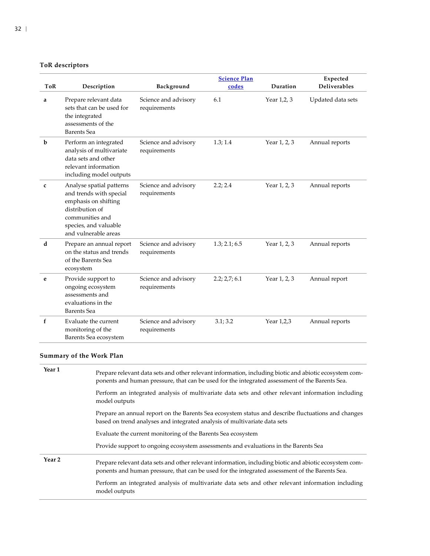## **ToR descriptors**

|             |                                                                                                                                                                    |                                      | <b>Science Plan</b> |              | Expected            |
|-------------|--------------------------------------------------------------------------------------------------------------------------------------------------------------------|--------------------------------------|---------------------|--------------|---------------------|
| <b>ToR</b>  | Description                                                                                                                                                        | Background                           | codes               | Duration     | <b>Deliverables</b> |
| a           | Prepare relevant data<br>sets that can be used for<br>the integrated<br>assessments of the<br><b>Barents</b> Sea                                                   | Science and advisory<br>requirements | 6.1                 | Year 1,2, 3  | Updated data sets   |
| $\mathbf b$ | Perform an integrated<br>analysis of multivariate<br>data sets and other<br>relevant information<br>including model outputs                                        | Science and advisory<br>requirements | 1.3; 1.4            | Year 1, 2, 3 | Annual reports      |
| c           | Analyse spatial patterns<br>and trends with special<br>emphasis on shifting<br>distribution of<br>communities and<br>species, and valuable<br>and vulnerable areas | Science and advisory<br>requirements | 2.2; 2.4            | Year 1, 2, 3 | Annual reports      |
| d           | Prepare an annual report<br>on the status and trends<br>of the Barents Sea<br>ecosystem                                                                            | Science and advisory<br>requirements | 1.3; 2.1; 6.5       | Year 1, 2, 3 | Annual reports      |
| e           | Provide support to<br>ongoing ecosystem<br>assessments and<br>evaluations in the<br><b>Barents</b> Sea                                                             | Science and advisory<br>requirements | 2.2; 2.7; 6.1       | Year 1, 2, 3 | Annual report       |
| f           | Evaluate the current<br>monitoring of the<br>Barents Sea ecosystem                                                                                                 | Science and advisory<br>requirements | 3.1; 3.2            | Year 1,2,3   | Annual reports      |

## **Summary of the Work Plan**

| Year 1 | Prepare relevant data sets and other relevant information, including biotic and abiotic ecosystem com-<br>ponents and human pressure, that can be used for the integrated assessment of the Barents Sea. |
|--------|----------------------------------------------------------------------------------------------------------------------------------------------------------------------------------------------------------|
|        | Perform an integrated analysis of multivariate data sets and other relevant information including<br>model outputs                                                                                       |
|        | Prepare an annual report on the Barents Sea ecosystem status and describe fluctuations and changes<br>based on trend analyses and integrated analysis of multivariate data sets                          |
|        | Evaluate the current monitoring of the Barents Sea ecosystem                                                                                                                                             |
|        | Provide support to ongoing ecosystem assessments and evaluations in the Barents Sea                                                                                                                      |
| Year 2 | Prepare relevant data sets and other relevant information, including biotic and abiotic ecosystem com-<br>ponents and human pressure, that can be used for the integrated assessment of the Barents Sea. |
|        | Perform an integrated analysis of multivariate data sets and other relevant information including<br>model outputs                                                                                       |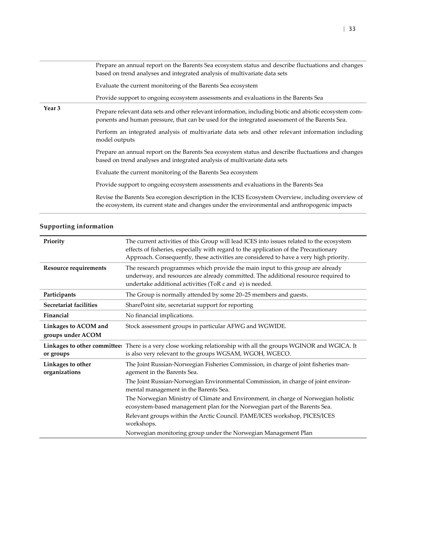|        | Prepare an annual report on the Barents Sea ecosystem status and describe fluctuations and changes<br>based on trend analyses and integrated analysis of multivariate data sets                          |
|--------|----------------------------------------------------------------------------------------------------------------------------------------------------------------------------------------------------------|
|        | Evaluate the current monitoring of the Barents Sea ecosystem                                                                                                                                             |
|        | Provide support to ongoing ecosystem assessments and evaluations in the Barents Sea                                                                                                                      |
| Year 3 | Prepare relevant data sets and other relevant information, including biotic and abiotic ecosystem com-<br>ponents and human pressure, that can be used for the integrated assessment of the Barents Sea. |
|        | Perform an integrated analysis of multivariate data sets and other relevant information including<br>model outputs                                                                                       |
|        | Prepare an annual report on the Barents Sea ecosystem status and describe fluctuations and changes<br>based on trend analyses and integrated analysis of multivariate data sets                          |
|        | Evaluate the current monitoring of the Barents Sea ecosystem                                                                                                                                             |
|        | Provide support to ongoing ecosystem assessments and evaluations in the Barents Sea                                                                                                                      |
|        | Revise the Barents Sea ecoregion description in the ICES Ecosystem Overview, including overview of<br>the ecosystem, its current state and changes under the environmental and anthropogenic impacts     |

| Priority                           | The current activities of this Group will lead ICES into issues related to the ecosystem<br>effects of fisheries, especially with regard to the application of the Precautionary<br>Approach. Consequently, these activities are considered to have a very high priority. |
|------------------------------------|---------------------------------------------------------------------------------------------------------------------------------------------------------------------------------------------------------------------------------------------------------------------------|
| <b>Resource requirements</b>       | The research programmes which provide the main input to this group are already<br>underway, and resources are already committed. The additional resource required to<br>undertake additional activities (ToR c and e) is needed.                                          |
| Participants                       | The Group is normally attended by some 20-25 members and guests.                                                                                                                                                                                                          |
| Secretariat facilities             | SharePoint site, secretariat support for reporting                                                                                                                                                                                                                        |
| Financial                          | No financial implications.                                                                                                                                                                                                                                                |
| Linkages to ACOM and               | Stock assessment groups in particular AFWG and WGWIDE.                                                                                                                                                                                                                    |
| groups under ACOM                  |                                                                                                                                                                                                                                                                           |
| or groups                          | Linkages to other committee: There is a very close working relationship with all the groups WGINOR and WGICA. It<br>is also very relevant to the groups WGSAM, WGOH, WGECO.                                                                                               |
| Linkages to other<br>organizations | The Joint Russian-Norwegian Fisheries Commission, in charge of joint fisheries man-<br>agement in the Barents Sea.                                                                                                                                                        |
|                                    | The Joint Russian-Norwegian Environmental Commission, in charge of joint environ-<br>mental management in the Barents Sea.                                                                                                                                                |
|                                    | The Norwegian Ministry of Climate and Environment, in charge of Norwegian holistic<br>ecosystem-based management plan for the Norwegian part of the Barents Sea.                                                                                                          |
|                                    | Relevant groups within the Arctic Council. PAME/ICES workshop, PICES/ICES<br>workshops.                                                                                                                                                                                   |
|                                    | Norwegian monitoring group under the Norwegian Management Plan                                                                                                                                                                                                            |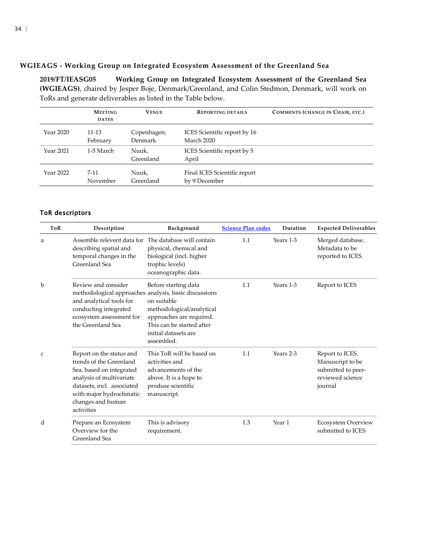### **WGIEAGS - Working Group on Integrated Ecosystem Assessment of the Greenland Sea**

**2019/FT/IEASG05 Working Group on Integrated Ecosystem Assessment of the Greenland Sea (WGIEAGS)**, chaired by Jesper Boje, Denmark/Greenland, and Colin Stedmon, Denmark, will work on ToRs and generate deliverables as listed in the Table below.

<span id="page-33-0"></span>

|           | <b>MEETING</b><br><b>DATES</b> | <b>VENUE</b>           | <b>REPORTING DETAILS</b>                      | COMMENTS (CHANGE IN CHAIR, ETC.) |
|-----------|--------------------------------|------------------------|-----------------------------------------------|----------------------------------|
| Year 2020 | 11-13<br>February              | Copenhagen,<br>Denmark | ICES Scientific report by 16<br>March 2020    |                                  |
| Year 2021 | 1-5 March                      | Nuuk,<br>Greenland     | ICES Scientific report by 5<br>April          |                                  |
| Year 2022 | $7 - 11$<br>November           | Nuuk,<br>Greenland     | Final ICES Scientific report<br>by 9 December |                                  |

| <b>ToR</b>   | Description                                                                                                                                                                                                                                                                                                                                   | Background                                                                                                                                                      | <b>Science Plan codes</b> | Duration  | <b>Expected Deliverables</b>                                                             |
|--------------|-----------------------------------------------------------------------------------------------------------------------------------------------------------------------------------------------------------------------------------------------------------------------------------------------------------------------------------------------|-----------------------------------------------------------------------------------------------------------------------------------------------------------------|---------------------------|-----------|------------------------------------------------------------------------------------------|
| a            | Assemble relevent data for<br>describing spatial and<br>temporal changes in the<br>Greenland Sea                                                                                                                                                                                                                                              | The database will contain<br>physical, chemical and<br>biological (incl. higher<br>trophic levels)<br>oceanographic data.                                       | 1.1                       | Years 1-3 | Merged database.<br>Metadata to be<br>reported to ICES.                                  |
| b            | Review and consider<br>methodological approaches analysis, basic discussions<br>and analytical tools for<br>conducting integrated<br>ecosystem assessment for<br>the Greenland Sea                                                                                                                                                            | Before starting data<br>on suitable<br>methodological/analytical<br>approaches are required.<br>This can be started after<br>initial datasets are<br>assembled. | 1.1                       | Years 1-3 | Report to ICES                                                                           |
| $\mathsf{C}$ | This ToR will be based on<br>Report on the status and<br>trends of the Greenland<br>activities and<br>Sea, based on integrated<br>advancements of the<br>analysis of multivariate<br>above. It is a hope to<br>datasets, incl. associated<br>produse scientific<br>with major hydroclimatic<br>manuscript.<br>changes and human<br>activities |                                                                                                                                                                 | 1.1                       | Years 2-3 | Report to ICES.<br>Manuscript to be<br>submitted to peer-<br>reviewed science<br>journal |
| d            | Prepare an Ecosystem<br>Overview for the<br>Greenland Sea                                                                                                                                                                                                                                                                                     | This is advisory<br>requirement.                                                                                                                                | 1.3                       | Year 1    | Ecosystem Overview<br>submitted to ICES                                                  |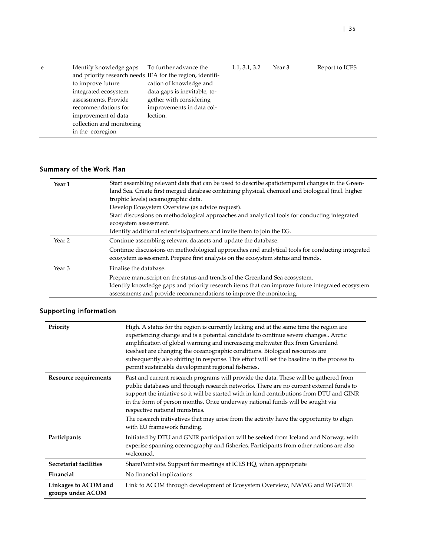| Identify knowledge gaps   | To further advance the                                    | 1.1, 3.1, 3.2 | Year 3 | Report to ICES |
|---------------------------|-----------------------------------------------------------|---------------|--------|----------------|
|                           | and priority research needs IEA for the region, identifi- |               |        |                |
| to improve future         | cation of knowledge and                                   |               |        |                |
| integrated ecosystem      | data gaps is inevitable, to-                              |               |        |                |
| assessments. Provide      | gether with considering                                   |               |        |                |
| recommendations for       | improvements in data col-                                 |               |        |                |
| improvement of data       | lection.                                                  |               |        |                |
| collection and monitoring |                                                           |               |        |                |
| in the ecoregion          |                                                           |               |        |                |

| Year 1            | Start assembling relevant data that can be used to describe spatiotemporal changes in the Green-<br>land Sea. Create first merged database containing physical, chemical and biological (incl. higher |
|-------------------|-------------------------------------------------------------------------------------------------------------------------------------------------------------------------------------------------------|
|                   | trophic levels) oceanographic data.                                                                                                                                                                   |
|                   | Develop Ecosystem Overview (as advice request).                                                                                                                                                       |
|                   | Start discussions on methodological approaches and analytical tools for conducting integrated                                                                                                         |
|                   | ecosystem assessment.                                                                                                                                                                                 |
|                   | Identify additional scientists/partners and invite them to join the EG.                                                                                                                               |
| Year <sub>2</sub> | Continue assembling relevant datasets and update the database.                                                                                                                                        |
|                   | Continue discussions on methodological approaches and analytical tools for conducting integrated                                                                                                      |
|                   | ecosystem assessment. Prepare first analysis on the ecosystem status and trends.                                                                                                                      |
| Year <sub>3</sub> | Finalise the database.                                                                                                                                                                                |
|                   | Prepare manuscript on the status and trends of the Greenland Sea ecosystem.                                                                                                                           |
|                   | Identify knowledge gaps and priority research items that can improve future integrated ecosystem                                                                                                      |
|                   | assessments and provide recommendations to improve the monitoring.                                                                                                                                    |
|                   |                                                                                                                                                                                                       |

| Priority                                  | High. A status for the region is currently lacking and at the same time the region are<br>experiencing change and is a potential candidate to continue severe changes Arctic<br>amplification of global warming and increaseing meltwater flux from Greenland<br>icesheet are changing the oceanographic conditions. Biological resources are<br>subsequently also shifting in response. This effort will set the baseline in the process to<br>permit sustainable development regional fisheries. |
|-------------------------------------------|----------------------------------------------------------------------------------------------------------------------------------------------------------------------------------------------------------------------------------------------------------------------------------------------------------------------------------------------------------------------------------------------------------------------------------------------------------------------------------------------------|
| Resource requirements                     | Past and current research programs will provide the data. These will be gathered from<br>public databases and through research networks. There are no current external funds to<br>support the intiative so it will be started with in kind contributions from DTU and GINR<br>in the form of person months. Once underway national funds will be sought via<br>respective national ministries.                                                                                                    |
|                                           | The research initivatives that may arise from the activity have the opportunity to align<br>with EU framework funding.                                                                                                                                                                                                                                                                                                                                                                             |
| Participants                              | Initiated by DTU and GNIR participation will be seeked from Iceland and Norway, with<br>experise spanning oceanography and fisheries. Participants from other nations are also<br>welcomed.                                                                                                                                                                                                                                                                                                        |
| Secretariat facilities                    | SharePoint site. Support for meetings at ICES HQ, when appropriate                                                                                                                                                                                                                                                                                                                                                                                                                                 |
| Financial                                 | No financial implications                                                                                                                                                                                                                                                                                                                                                                                                                                                                          |
| Linkages to ACOM and<br>groups under ACOM | Link to ACOM through development of Ecosystem Overview, NWWG and WGWIDE.                                                                                                                                                                                                                                                                                                                                                                                                                           |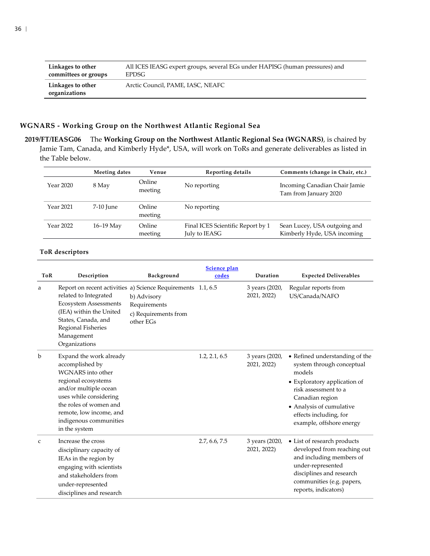| Linkages to other                  | All ICES IEASG expert groups, several EGs under HAPISG (human pressures) and |
|------------------------------------|------------------------------------------------------------------------------|
| committees or groups               | EPDSG                                                                        |
| Linkages to other<br>organizations | Arctic Council, PAME, IASC, NEAFC                                            |

## **WGNARS - Working Group on the Northwest Atlantic Regional Sea**

<span id="page-35-0"></span>**2019/FT/IEASG06** The **Working Group on the Northwest Atlantic Regional Sea (WGNARS)**, is chaired by Jamie Tam, Canada, and Kimberly Hyde\*, USA, will work on ToRs and generate deliverables as listed in the Table below.

|           | Meeting dates | Venue             | Reporting details                                  | Comments (change in Chair, etc.)                            |
|-----------|---------------|-------------------|----------------------------------------------------|-------------------------------------------------------------|
| Year 2020 | 8 May         | Online<br>meeting | No reporting                                       | Incoming Canadian Chair Jamie<br>Tam from January 2020      |
| Year 2021 | 7-10 June     | Online<br>meeting | No reporting                                       |                                                             |
| Year 2022 | $16-19$ May   | Online<br>meeting | Final ICES Scientific Report by 1<br>July to IEASG | Sean Lucey, USA outgoing and<br>Kimberly Hyde, USA incoming |

e<br>H

| ToR          | Description                                                                                                                                                                                                                                      | Background                                                       | Science plan<br>codes | Duration                      | <b>Expected Deliverables</b>                                                                                                                                                                                                       |
|--------------|--------------------------------------------------------------------------------------------------------------------------------------------------------------------------------------------------------------------------------------------------|------------------------------------------------------------------|-----------------------|-------------------------------|------------------------------------------------------------------------------------------------------------------------------------------------------------------------------------------------------------------------------------|
| a            | Report on recent activities a) Science Requirements 1.1, 6.5<br>related to Integrated<br><b>Ecosystem Assessments</b><br>(IEA) within the United<br>States, Canada, and<br>Regional Fisheries<br>Management<br>Organizations                     | b) Advisory<br>Requirements<br>c) Requirements from<br>other EGs |                       | 3 years (2020,<br>2021, 2022) | Regular reports from<br>US/Canada/NAFO                                                                                                                                                                                             |
| $\mathbf b$  | Expand the work already<br>accomplished by<br><b>WGNARS</b> into other<br>regional ecosystems<br>and/or multiple ocean<br>uses while considering<br>the roles of women and<br>remote, low income, and<br>indigenous communities<br>in the system |                                                                  | 1.2, 2.1, 6.5         | 3 years (2020,<br>2021, 2022) | • Refined understanding of the<br>system through conceptual<br>models<br>• Exploratory application of<br>risk assessment to a<br>Canadian region<br>• Analysis of cumulative<br>effects including, for<br>example, offshore energy |
| $\mathsf{C}$ | Increase the cross<br>disciplinary capacity of<br>IEAs in the region by<br>engaging with scientists<br>and stakeholders from<br>under-represented<br>disciplines and research                                                                    |                                                                  | 2.7, 6.6, 7.5         | 3 years (2020,<br>2021, 2022) | • List of research products<br>developed from reaching out<br>and including members of<br>under-represented<br>disciplines and research<br>communities (e.g. papers,<br>reports, indicators)                                       |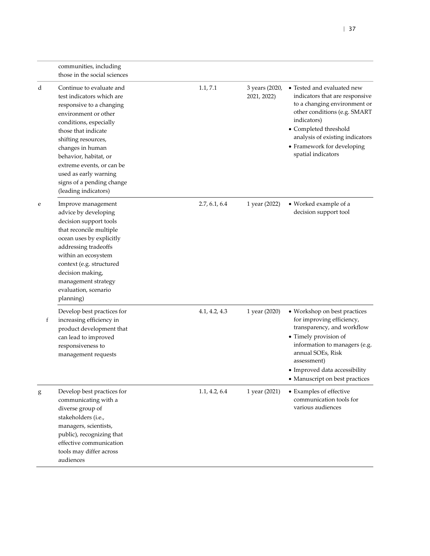|   | communities, including<br>those in the social sciences                                                                                                                                                                                                                                                                                    |               |                               |                                                                                                                                                                                                                                                             |
|---|-------------------------------------------------------------------------------------------------------------------------------------------------------------------------------------------------------------------------------------------------------------------------------------------------------------------------------------------|---------------|-------------------------------|-------------------------------------------------------------------------------------------------------------------------------------------------------------------------------------------------------------------------------------------------------------|
| d | Continue to evaluate and<br>test indicators which are<br>responsive to a changing<br>environment or other<br>conditions, especially<br>those that indicate<br>shifting resources,<br>changes in human<br>behavior, habitat, or<br>extreme events, or can be<br>used as early warning<br>signs of a pending change<br>(leading indicators) | 1.1, 7.1      | 3 years (2020,<br>2021, 2022) | • Tested and evaluated new<br>indicators that are responsive<br>to a changing environment or<br>other conditions (e.g. SMART<br>indicators)<br>• Completed threshold<br>analysis of existing indicators<br>• Framework for developing<br>spatial indicators |
| e | Improve management<br>advice by developing<br>decision support tools<br>that reconcile multiple<br>ocean uses by explicitly<br>addressing tradeoffs<br>within an ecosystem<br>context (e.g. structured<br>decision making,<br>management strategy<br>evaluation, scenario<br>planning)                                                    | 2.7, 6.1, 6.4 | 1 year (2022)                 | • Worked example of a<br>decision support tool                                                                                                                                                                                                              |
| f | Develop best practices for<br>increasing efficiency in<br>product development that<br>can lead to improved<br>responsiveness to<br>management requests                                                                                                                                                                                    | 4.1, 4.2, 4.3 | 1 year (2020)                 | • Workshop on best practices<br>for improving efficiency,<br>transparency, and workflow<br>• Timely provision of<br>information to managers (e.g.<br>annual SOEs, Risk<br>assessment)<br>• Improved data accessibility<br>• Manuscript on best practices    |
| g | Develop best practices for<br>communicating with a<br>diverse group of<br>stakeholders (i.e.,<br>managers, scientists,<br>public), recognizing that<br>effective communication<br>tools may differ across<br>audiences                                                                                                                    | 1.1, 4.2, 6.4 | 1 year (2021)                 | • Examples of effective<br>communication tools for<br>various audiences                                                                                                                                                                                     |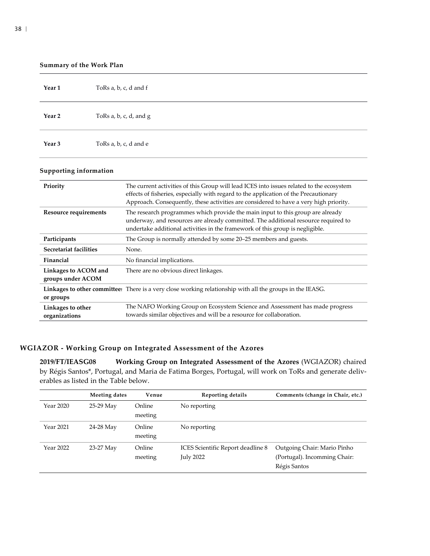| Summary of the Work Plan |                        |  |  |
|--------------------------|------------------------|--|--|
| Year 1                   | ToRs a, b, c, d and f  |  |  |
| Year 2                   | ToRs a, b, c, d, and g |  |  |
| Year 3                   | ToRs a, b, c, d and e  |  |  |

#### **Supporting information**

| Priority                                  | The current activities of this Group will lead ICES into issues related to the ecosystem<br>effects of fisheries, especially with regard to the application of the Precautionary<br>Approach. Consequently, these activities are considered to have a very high priority. |
|-------------------------------------------|---------------------------------------------------------------------------------------------------------------------------------------------------------------------------------------------------------------------------------------------------------------------------|
| <b>Resource requirements</b>              | The research programmes which provide the main input to this group are already<br>underway, and resources are already committed. The additional resource required to<br>undertake additional activities in the framework of this group is negligible.                     |
| Participants                              | The Group is normally attended by some 20–25 members and guests.                                                                                                                                                                                                          |
| Secretariat facilities                    | None.                                                                                                                                                                                                                                                                     |
| Financial                                 | No financial implications.                                                                                                                                                                                                                                                |
| Linkages to ACOM and<br>groups under ACOM | There are no obvious direct linkages.                                                                                                                                                                                                                                     |
| or groups                                 | Linkages to other committee. There is a very close working relationship with all the groups in the IEASG.                                                                                                                                                                 |
| Linkages to other<br>organizations        | The NAFO Working Group on Ecosystem Science and Assessment has made progress<br>towards similar objectives and will be a resource for collaboration.                                                                                                                      |

# **WGIAZOR - Working Group on Integrated Assessment of the Azores**

**2019/FT/IEASG08 Working Group on Integrated Assessment of the Azores** (WGIAZOR) chaired by Régis Santos\*, Portugal, and Maria de Fatima Borges, Portugal, will work on ToRs and generate deliverables as listed in the Table below.

<span id="page-37-0"></span>

|           | Meeting dates | Venue             | Reporting details                                     | Comments (change in Chair, etc.)                                            |
|-----------|---------------|-------------------|-------------------------------------------------------|-----------------------------------------------------------------------------|
| Year 2020 | 25-29 May     | Online<br>meeting | No reporting                                          |                                                                             |
| Year 2021 | 24-28 May     | Online<br>meeting | No reporting                                          |                                                                             |
| Year 2022 | 23-27 May     | Online<br>meeting | ICES Scientific Report deadline 8<br><b>July 2022</b> | Outgoing Chair: Mario Pinho<br>(Portugal). Incomming Chair:<br>Régis Santos |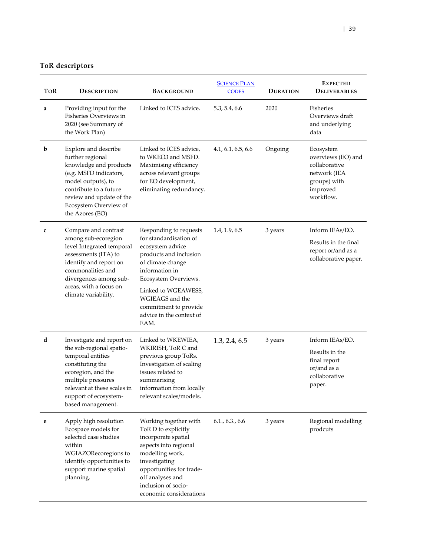| <b>TOR</b> | <b>DESCRIPTION</b>                                                                                                                                                                                                          | <b>BACKGROUND</b>                                                                                                                                                                                                                                                    | <b>SCIENCE PLAN</b><br><b>CODES</b> | <b>DURATION</b> | <b>EXPECTED</b><br><b>DELIVERABLES</b>                                                                    |
|------------|-----------------------------------------------------------------------------------------------------------------------------------------------------------------------------------------------------------------------------|----------------------------------------------------------------------------------------------------------------------------------------------------------------------------------------------------------------------------------------------------------------------|-------------------------------------|-----------------|-----------------------------------------------------------------------------------------------------------|
| a          | Providing input for the<br>Fisheries Overviews in<br>2020 (see Summary of<br>the Work Plan)                                                                                                                                 | Linked to ICES advice.                                                                                                                                                                                                                                               | 5.3, 5.4, 6.6                       | 2020            | Fisheries<br>Overviews draft<br>and underlying<br>data                                                    |
| b          | Explore and describe<br>further regional<br>knowledge and products<br>(e.g. MSFD indicators,<br>model outputs), to<br>contribute to a future<br>review and update of the<br>Ecosystem Overview of<br>the Azores (EO)        | Linked to ICES advice,<br>to WKEO3 and MSFD.<br>Maximising efficiency<br>across relevant groups<br>for EO development,<br>eliminating redundancy.                                                                                                                    | 4.1, 6.1, 6.5, 6.6                  | Ongoing         | Ecosystem<br>overviews (EO) and<br>collaborative<br>network (IEA<br>groups) with<br>improved<br>workflow. |
| c          | Compare and contrast<br>among sub-ecoregion<br>level Integrated temporal<br>assessments (ITA) to<br>identify and report on<br>commonalities and<br>divergences among sub-<br>areas, with a focus on<br>climate variability. | Responding to requests<br>for standardisation of<br>ecosystem advice<br>products and inclusion<br>of climate change<br>information in<br>Ecosystem Overviews.<br>Linked to WGEAWESS,<br>WGIEAGS and the<br>commitment to provide<br>advice in the context of<br>EAM. | 1.4, 1.9, 6.5                       | 3 years         | Inform IEAs/EO.<br>Results in the final<br>report or/and as a<br>collaborative paper.                     |
| d          | Investigate and report on<br>the sub-regional spatio-<br>temporal entities<br>constituting the<br>ecoregion, and the<br>multiple pressures<br>relevant at these scales in<br>support of ecosystem-<br>based management.     | Linked to WKEWIEA,<br>WKIRISH, ToR C and<br>previous group ToRs.<br>Investigation of scaling<br>issues related to<br>summarising<br>information from locally<br>relevant scales/models.                                                                              | 1.3, 2.4, 6.5                       | 3 years         | Inform IEAs/EO.<br>Results in the<br>final report<br>or/and as a<br>collaborative<br>paper.               |
| e          | Apply high resolution<br>Ecospace models for<br>selected case studies<br>within<br>WGIAZORecoregions to<br>identify opportunities to<br>support marine spatial<br>planning.                                                 | Working together with<br>ToR D to explicitly<br>incorporate spatial<br>aspects into regional<br>modelling work,<br>investigating<br>opportunities for trade-<br>off analyses and<br>inclusion of socio-<br>economic considerations                                   | 6.1, 6.3, 6.6                       | 3 years         | Regional modelling<br>prodcuts                                                                            |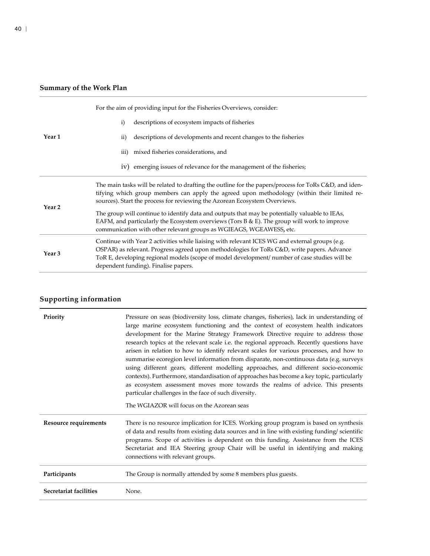|                   | For the aim of providing input for the Fisheries Overviews, consider.                                                                                                                                                                                                                                                                 |  |  |
|-------------------|---------------------------------------------------------------------------------------------------------------------------------------------------------------------------------------------------------------------------------------------------------------------------------------------------------------------------------------|--|--|
|                   | descriptions of ecosystem impacts of fisheries<br>i)                                                                                                                                                                                                                                                                                  |  |  |
| Year 1            | descriptions of developments and recent changes to the fisheries<br>$\rm ii)$                                                                                                                                                                                                                                                         |  |  |
|                   | iii) mixed fisheries considerations, and                                                                                                                                                                                                                                                                                              |  |  |
|                   | iv) emerging issues of relevance for the management of the fisheries;                                                                                                                                                                                                                                                                 |  |  |
|                   | The main tasks will be related to drafting the outline for the papers/process for ToRs C&D, and iden-<br>tifying which group members can apply the agreed upon methodology (within their limited re-<br>sources). Start the process for reviewing the Azorean Ecosystem Overviews.                                                    |  |  |
| Year <sub>2</sub> | The group will continue to identify data and outputs that may be potentially valuable to IEAs,<br>EAFM, and particularly the Ecosystem overviews (Tors B & E). The group will work to improve<br>communication with other relevant groups as WGIEAGS, WGEAWESS, etc.                                                                  |  |  |
| Year <sub>3</sub> | Continue with Year 2 activities while liaising with relevant ICES WG and external groups (e.g.<br>OSPAR) as relevant. Progress agreed upon methodologies for ToRs C&D, write papers. Advance<br>ToR E, developing regional models (scope of model development/ number of case studies will be<br>dependent funding). Finalise papers. |  |  |

| Priority                     | Pressure on seas (biodiversity loss, climate changes, fisheries), lack in understanding of<br>large marine ecosystem functioning and the context of ecosystem health indicators<br>development for the Marine Strategy Framework Directive require to address those<br>research topics at the relevant scale i.e. the regional approach. Recently questions have<br>arisen in relation to how to identify relevant scales for various processes, and how to<br>summarise ecoregion level information from disparate, non-continuous data (e.g. surveys<br>using different gears, different modelling approaches, and different socio-economic<br>contexts). Furthermore, standardisation of approaches has become a key topic, particularly<br>as ecosystem assessment moves more towards the realms of advice. This presents<br>particular challenges in the face of such diversity.<br>The WGIAZOR will focus on the Azorean seas |
|------------------------------|-------------------------------------------------------------------------------------------------------------------------------------------------------------------------------------------------------------------------------------------------------------------------------------------------------------------------------------------------------------------------------------------------------------------------------------------------------------------------------------------------------------------------------------------------------------------------------------------------------------------------------------------------------------------------------------------------------------------------------------------------------------------------------------------------------------------------------------------------------------------------------------------------------------------------------------|
| <b>Resource requirements</b> | There is no resource implication for ICES. Working group program is based on synthesis<br>of data and results from existing data sources and in line with existing funding/scientific<br>programs. Scope of activities is dependent on this funding. Assistance from the ICES<br>Secretariat and IEA Steering group Chair will be useful in identifying and making<br>connections with relevant groups.                                                                                                                                                                                                                                                                                                                                                                                                                                                                                                                             |
| Participants                 | The Group is normally attended by some 8 members plus guests.                                                                                                                                                                                                                                                                                                                                                                                                                                                                                                                                                                                                                                                                                                                                                                                                                                                                       |
| Secretariat facilities       | None.                                                                                                                                                                                                                                                                                                                                                                                                                                                                                                                                                                                                                                                                                                                                                                                                                                                                                                                               |
|                              |                                                                                                                                                                                                                                                                                                                                                                                                                                                                                                                                                                                                                                                                                                                                                                                                                                                                                                                                     |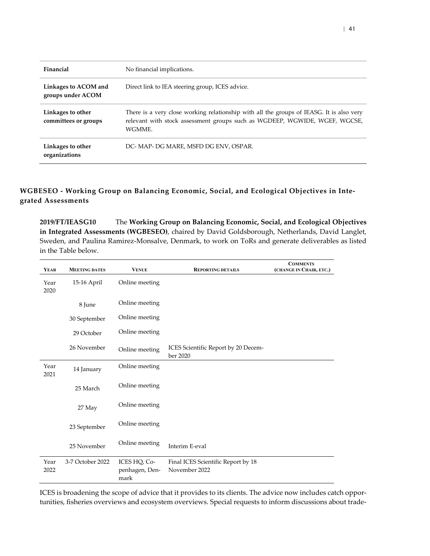| Financial                                 | No financial implications.                                                                                                                                                       |
|-------------------------------------------|----------------------------------------------------------------------------------------------------------------------------------------------------------------------------------|
| Linkages to ACOM and<br>groups under ACOM | Direct link to IEA steering group, ICES advice.                                                                                                                                  |
| Linkages to other<br>committees or groups | There is a very close working relationship with all the groups of IEASG. It is also very<br>relevant with stock assessment groups such as WGDEEP, WGWIDE, WGEF, WGCSE,<br>WGMME. |
| Linkages to other<br>organizations        | DC- MAP- DG MARE, MSFD DG ENV, OSPAR.                                                                                                                                            |

### **WGBESEO - Working Group on Balancing Economic, Social, and Ecological Objectives in Integrated Assessments**

<span id="page-40-0"></span>**2019/FT/IEASG10** The **Working Group on Balancing Economic, Social, and Ecological Objectives in Integrated Assessments (WGBESEO)**, chaired by David Goldsborough, Netherlands, David Langlet, Sweden, and Paulina Ramirez-Monsalve, Denmark, to work on ToRs and generate deliverables as listed in the Table below.

| <b>YEAR</b>  | <b>MEETING DATES</b> | <b>VENUE</b>                           | <b>REPORTING DETAILS</b>                            | <b>COMMENTS</b><br>(CHANGE IN CHAIR, ETC.) |
|--------------|----------------------|----------------------------------------|-----------------------------------------------------|--------------------------------------------|
| Year<br>2020 | 15-16 April          | Online meeting                         |                                                     |                                            |
|              | 8 June               | Online meeting                         |                                                     |                                            |
|              | 30 September         | Online meeting                         |                                                     |                                            |
|              | 29 October           | Online meeting                         |                                                     |                                            |
|              | 26 November          | Online meeting                         | ICES Scientific Report by 20 Decem-<br>ber 2020     |                                            |
| Year<br>2021 | 14 January           | Online meeting                         |                                                     |                                            |
|              | 25 March             | Online meeting                         |                                                     |                                            |
|              | 27 May               | Online meeting                         |                                                     |                                            |
|              | 23 September         | Online meeting                         |                                                     |                                            |
|              | 25 November          | Online meeting                         | Interim E-eval                                      |                                            |
| Year<br>2022 | 3-7 October 2022     | ICES HQ, Co-<br>penhagen, Den-<br>mark | Final ICES Scientific Report by 18<br>November 2022 |                                            |

ICES is broadening the scope of advice that it provides to its clients. The advice now includes catch opportunities, fisheries overviews and ecosystem overviews. Special requests to inform discussions about trade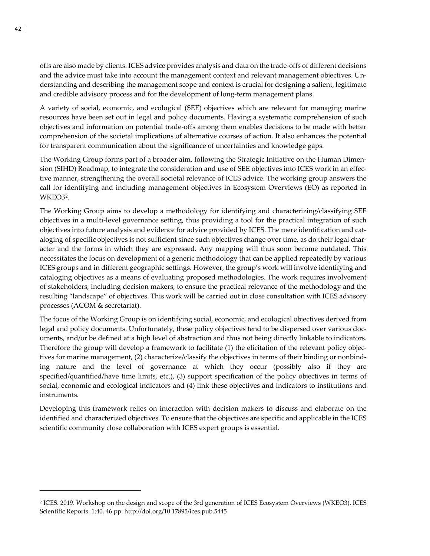offs are also made by clients. ICES advice provides analysis and data on the trade-offs of different decisions and the advice must take into account the management context and relevant management objectives. Understanding and describing the management scope and context is crucial for designing a salient, legitimate and credible advisory process and for the development of long-term management plans.

A variety of social, economic, and ecological (SEE) objectives which are relevant for managing marine resources have been set out in legal and policy documents. Having a systematic comprehension of such objectives and information on potential trade-offs among them enables decisions to be made with better comprehension of the societal implications of alternative courses of action. It also enhances the potential for transparent communication about the significance of uncertainties and knowledge gaps.

The Working Group forms part of a broader aim, following the Strategic Initiative on the Human Dimension (SIHD) Roadmap, to integrate the consideration and use of SEE objectives into ICES work in an effective manner, strengthening the overall societal relevance of ICES advice. The working group answers the call for identifying and including management objectives in Ecosystem Overviews (EO) as reported in WKEO3[2](#page-41-0).

The Working Group aims to develop a methodology for identifying and characterizing/classifying SEE objectives in a multi-level governance setting, thus providing a tool for the practical integration of such objectives into future analysis and evidence for advice provided by ICES. The mere identification and cataloging of specific objectives is not sufficient since such objectives change over time, as do their legal character and the forms in which they are expressed. Any mapping will thus soon become outdated. This necessitates the focus on development of a generic methodology that can be applied repeatedly by various ICES groups and in different geographic settings. However, the group's work will involve identifying and cataloging objectives as a means of evaluating proposed methodologies. The work requires involvement of stakeholders, including decision makers, to ensure the practical relevance of the methodology and the resulting "landscape" of objectives. This work will be carried out in close consultation with ICES advisory processes (ACOM & secretariat).

The focus of the Working Group is on identifying social, economic, and ecological objectives derived from legal and policy documents. Unfortunately, these policy objectives tend to be dispersed over various documents, and/or be defined at a high level of abstraction and thus not being directly linkable to indicators. Therefore the group will develop a framework to facilitate (1) the elicitation of the relevant policy objectives for marine management, (2) characterize/classify the objectives in terms of their binding or nonbinding nature and the level of governance at which they occur (possibly also if they are specified/quantified/have time limits, etc.), (3) support specification of the policy objectives in terms of social, economic and ecological indicators and (4) link these objectives and indicators to institutions and instruments.

Developing this framework relies on interaction with decision makers to discuss and elaborate on the identified and characterized objectives. To ensure that the objectives are specific and applicable in the ICES scientific community close collaboration with ICES expert groups is essential.

<span id="page-41-0"></span> $\overline{\phantom{a}}$ 

<span id="page-41-1"></span><sup>2</sup> ICES. 2019. Workshop on the design and scope of the 3rd generation of ICES Ecosystem Overviews (WKEO3). ICES Scientific Reports. 1:40. 46 pp. http://doi.org/10.17895/ices.pub.5445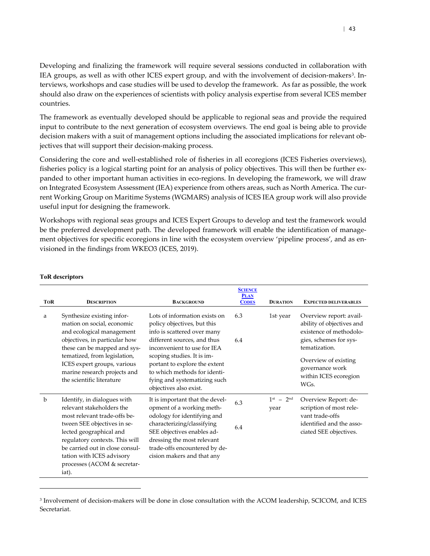Developing and finalizing the framework will require several sessions conducted in collaboration with IEA groups, as well as with other ICES expert group, and with the involvement of decision-makers[3](#page-41-1). Interviews, workshops and case studies will be used to develop the framework. As far as possible, the work should also draw on the experiences of scientists with policy analysis expertise from several ICES member countries.

The framework as eventually developed should be applicable to regional seas and provide the required input to contribute to the next generation of ecosystem overviews. The end goal is being able to provide decision makers with a suit of management options including the associated implications for relevant objectives that will support their decision-making process.

Considering the core and well-established role of fisheries in all ecoregions (ICES Fisheries overviews), fisheries policy is a logical starting point for an analysis of policy objectives. This will then be further expanded to other important human activities in eco-regions. In developing the framework, we will draw on Integrated Ecosystem Assessment (IEA) experience from others areas, such as North America. The current Working Group on Maritime Systems (WGMARS) analysis of ICES IEA group work will also provide useful input for designing the framework.

Workshops with regional seas groups and ICES Expert Groups to develop and test the framework would be the preferred development path. The developed framework will enable the identification of management objectives for specific ecoregions in line with the ecosystem overview 'pipeline process', and as envisioned in the findings from WKEO3 (ICES, 2019).

| <b>TOR</b> | <b>DESCRIPTION</b>                                                                                                                                                                                                                                                                           | <b>BACKGROUND</b>                                                                                                                                                                                                                                                                                                  | <b>SCIENCE</b><br><b>PLAN</b><br><b>CODES</b> | <b>DURATION</b>             | <b>EXPECTED DELIVERABLES</b>                                                                                                                                                                           |
|------------|----------------------------------------------------------------------------------------------------------------------------------------------------------------------------------------------------------------------------------------------------------------------------------------------|--------------------------------------------------------------------------------------------------------------------------------------------------------------------------------------------------------------------------------------------------------------------------------------------------------------------|-----------------------------------------------|-----------------------------|--------------------------------------------------------------------------------------------------------------------------------------------------------------------------------------------------------|
| a          | Synthesize existing infor-<br>mation on social, economic<br>and ecological management<br>objectives, in particular how<br>these can be mapped and sys-<br>tematized, from legislation,<br>ICES expert groups, various<br>marine research projects and<br>the scientific literature           | Lots of information exists on<br>policy objectives, but this<br>info is scattered over many<br>different sources, and thus<br>inconvenient to use for IEA<br>scoping studies. It is im-<br>portant to explore the extent<br>to which methods for identi-<br>fying and systematizing such<br>objectives also exist. | 6.3<br>6.4                                    | $1st$ year                  | Overview report: avail-<br>ability of objectives and<br>existence of methodolo-<br>gies, schemes for sys-<br>tematization.<br>Overview of existing<br>governance work<br>within ICES ecoregion<br>WGs. |
| b          | Identify, in dialogues with<br>relevant stakeholders the<br>most relevant trade-offs be-<br>tween SEE objectives in se-<br>lected geographical and<br>regulatory contexts. This will<br>be carried out in close consul-<br>tation with ICES advisory<br>processes (ACOM & secretar-<br>iat). | It is important that the devel-<br>opment of a working meth-<br>odology for identifying and<br>characterizing/classifying<br>SEE objectives enables ad-<br>dressing the most relevant<br>trade-offs encountered by de-<br>cision makers and that any                                                               | 6.3<br>6.4                                    | $1^{st}$ – $2^{nd}$<br>year | Overview Report: de-<br>scription of most rele-<br>vant trade-offs<br>identified and the asso-<br>ciated SEE objectives.                                                                               |

#### **ToR descriptors**

 $\overline{\phantom{a}}$ 

<sup>3</sup> Involvement of decision-makers will be done in close consultation with the ACOM leadership, SCICOM, and ICES Secretariat.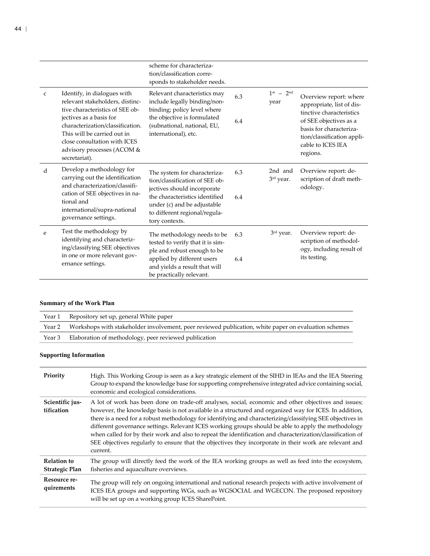|              |                                                                                                                                                                                                                                                                                | scheme for characteriza-<br>tion/classification corre-<br>sponds to stakeholder needs.                                                                                                                            |            |                      |                                                                                                                                                                                                     |
|--------------|--------------------------------------------------------------------------------------------------------------------------------------------------------------------------------------------------------------------------------------------------------------------------------|-------------------------------------------------------------------------------------------------------------------------------------------------------------------------------------------------------------------|------------|----------------------|-----------------------------------------------------------------------------------------------------------------------------------------------------------------------------------------------------|
| $\mathsf{C}$ | Identify, in dialogues with<br>relevant stakeholders, distinc-<br>tive characteristics of SEE ob-<br>jectives as a basis for<br>characterization/classification.<br>This will be carried out in<br>close consultation with ICES<br>advisory processes (ACOM &<br>secretariat). | Relevant characteristics may<br>include legally binding/non-<br>binding; policy level where<br>the objective is formulated<br>(subnational, national, EU,<br>international), etc.                                 | 6.3<br>6.4 | $1st - 2nd$<br>year  | Overview report: where<br>appropriate, list of dis-<br>tinctive characteristics<br>of SEE objectives as a<br>basis for characteriza-<br>tion/classification appli-<br>cable to ICES IEA<br>regions. |
| d            | Develop a methodology for<br>carrying out the identification<br>and characterization/classifi-<br>cation of SEE objectives in na-<br>tional and<br>international/supra-national<br>governance settings.                                                                        | The system for characteriza-<br>tion/classification of SEE ob-<br>jectives should incorporate<br>the characteristics identified<br>under (c) and be adjustable<br>to different regional/regula-<br>tory contexts. | 6.3<br>6.4 | 2nd and<br>3rd year. | Overview report: de-<br>scription of draft meth-<br>odology.                                                                                                                                        |
| e            | Test the methodology by<br>identifying and characteriz-<br>ing/classifying SEE objectives<br>in one or more relevant gov-<br>ernance settings.                                                                                                                                 | The methodology needs to be<br>tested to verify that it is sim-<br>ple and robust enough to be<br>applied by different users<br>and yields a result that will<br>be practically relevant.                         | 6.3<br>6.4 | 3rd year.            | Overview report: de-<br>scription of methodol-<br>ogy, including result of<br>its testing.                                                                                                          |

| Year 1 | Repository set up, general White paper                                                               |
|--------|------------------------------------------------------------------------------------------------------|
| Year 2 | Workshops with stakeholder involvement, peer reviewed publication, white paper on evaluation schemes |
| Year 3 | Elaboration of methodology, peer reviewed publication                                                |

| Priority                                    | High. This Working Group is seen as a key strategic element of the SIHD in IEAs and the IEA Steering<br>Group to expand the knowledge base for supporting comprehensive integrated advice containing social,<br>economic and ecological considerations.                                                                                                                                                                                                                                                                                                                                                                                                                |
|---------------------------------------------|------------------------------------------------------------------------------------------------------------------------------------------------------------------------------------------------------------------------------------------------------------------------------------------------------------------------------------------------------------------------------------------------------------------------------------------------------------------------------------------------------------------------------------------------------------------------------------------------------------------------------------------------------------------------|
| Scientific jus-<br>tification               | A lot of work has been done on trade-off analyses, social, economic and other objectives and issues;<br>however, the knowledge basis is not available in a structured and organized way for ICES. In addition,<br>there is a need for a robust methodology for identifying and characterizing/classifying SEE objectives in<br>different governance settings. Relevant ICES working groups should be able to apply the methodology<br>when called for by their work and also to repeat the identification and characterization/classification of<br>SEE objectives regularly to ensure that the objectives they incorporate in their work are relevant and<br>current. |
| <b>Relation to</b><br><b>Strategic Plan</b> | The group will directly feed the work of the IEA working groups as well as feed into the ecosystem,<br>fisheries and aquaculture overviews.                                                                                                                                                                                                                                                                                                                                                                                                                                                                                                                            |
| Resource re-<br>quirements                  | The group will rely on ongoing international and national research projects with active involvement of<br>ICES IEA groups and supporting WGs, such as WGSOCIAL and WGECON. The proposed repository<br>will be set up on a working group ICES SharePoint.                                                                                                                                                                                                                                                                                                                                                                                                               |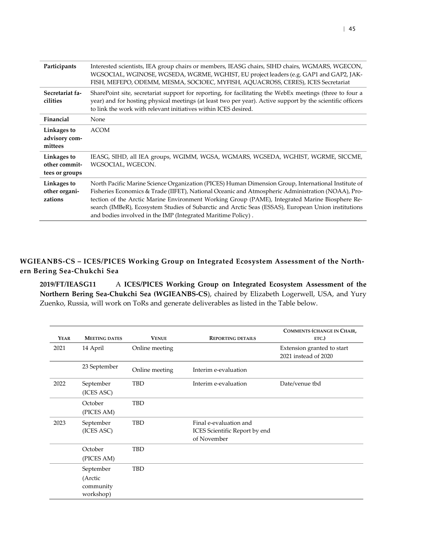| Participants                                   | Interested scientists, IEA group chairs or members, IEASG chairs, SIHD chairs, WGMARS, WGECON,<br>WGSOCIAL, WGINOSE, WGSEDA, WGRME, WGHIST, EU project leaders (e.g. GAP1 and GAP2, JAK-<br>FISH, MEFEPO, ODEMM, MESMA, SOCIOEC, MYFISH, AQUACROSS, CERES), ICES Secretariat                                                                                                                                                                                                      |
|------------------------------------------------|-----------------------------------------------------------------------------------------------------------------------------------------------------------------------------------------------------------------------------------------------------------------------------------------------------------------------------------------------------------------------------------------------------------------------------------------------------------------------------------|
| Secretariat fa-<br>cilities                    | SharePoint site, secretariat support for reporting, for facilitating the WebEx meetings (three to four a<br>year) and for hosting physical meetings (at least two per year). Active support by the scientific officers<br>to link the work with relevant initiatives within ICES desired.                                                                                                                                                                                         |
| Financial                                      | None                                                                                                                                                                                                                                                                                                                                                                                                                                                                              |
| Linkages to<br>advisory com-<br>mittees        | <b>ACOM</b>                                                                                                                                                                                                                                                                                                                                                                                                                                                                       |
| Linkages to<br>other commit-<br>tees or groups | IEASG, SIHD, all IEA groups, WGIMM, WGSA, WGMARS, WGSEDA, WGHIST, WGRME, SICCME,<br>WGSOCIAL, WGECON.                                                                                                                                                                                                                                                                                                                                                                             |
| Linkages to<br>other organi-<br>zations        | North Pacific Marine Science Organization (PICES) Human Dimension Group, International Institute of<br>Fisheries Economics & Trade (IIFET), National Oceanic and Atmospheric Administration (NOAA), Pro-<br>tection of the Arctic Marine Environment Working Group (PAME), Integrated Marine Biosphere Re-<br>search (IMBeR), Ecosystem Studies of Subarctic and Arctic Seas (ESSAS), European Union institutions<br>and bodies involved in the IMP (Integrated Maritime Policy). |

### **WGIEANBS-CS – ICES/PICES Working Group on Integrated Ecosystem Assessment of the Northern Bering Sea-Chukchi Sea**

<span id="page-44-0"></span>**2019/FT/IEASG11** A **ICES/PICES Working Group on Integrated Ecosystem Assessment of the Northern Bering Sea-Chukchi Sea (WGIEANBS-CS**), chaired by Elizabeth Logerwell, USA, and Yury Zuenko, Russia, will work on ToRs and generate deliverables as listed in the Table below.

| <b>YEAR</b> | <b>MEETING DATES</b>                           | <b>VENUE</b>   | <b>REPORTING DETAILS</b>                                               | <b>COMMENTS (CHANGE IN CHAIR,</b><br>ETC.)         |
|-------------|------------------------------------------------|----------------|------------------------------------------------------------------------|----------------------------------------------------|
| 2021        | 14 April                                       | Online meeting |                                                                        | Extension granted to start<br>2021 instead of 2020 |
|             | 23 September                                   | Online meeting | Interim e-evaluation                                                   |                                                    |
| 2022        | September<br>(ICES ASC)                        | TBD            | Interim e-evaluation                                                   | Date/venue tbd                                     |
|             | October<br>(PICES AM)                          | <b>TBD</b>     |                                                                        |                                                    |
| 2023        | September<br>(ICES ASC)                        | <b>TBD</b>     | Final e-evaluation and<br>ICES Scientific Report by end<br>of November |                                                    |
|             | October<br>(PICES AM)                          | TBD            |                                                                        |                                                    |
|             | September<br>(Arctic<br>community<br>workshop) | TBD            |                                                                        |                                                    |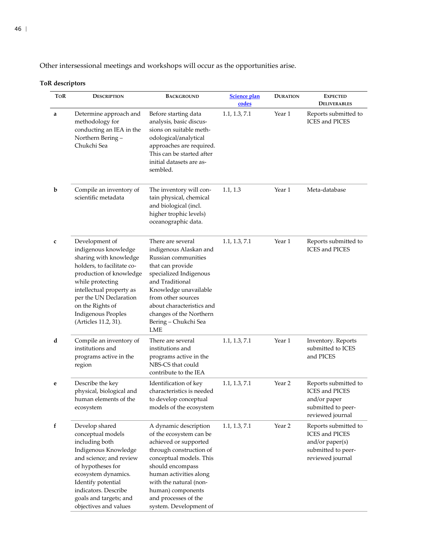Other intersessional meetings and workshops will occur as the opportunities arise.

| ToR | <b>BACKGROUND</b><br><b>DESCRIPTION</b>                                                                                                                                                                                                                                                                                                                                                                                                                                                                                                                          |                                                                                                                                                                                                                                                                                | Science plan<br>codes | <b>DURATION</b>   | <b>EXPECTED</b><br><b>DELIVERABLES</b>                                                                     |
|-----|------------------------------------------------------------------------------------------------------------------------------------------------------------------------------------------------------------------------------------------------------------------------------------------------------------------------------------------------------------------------------------------------------------------------------------------------------------------------------------------------------------------------------------------------------------------|--------------------------------------------------------------------------------------------------------------------------------------------------------------------------------------------------------------------------------------------------------------------------------|-----------------------|-------------------|------------------------------------------------------------------------------------------------------------|
| a   | Determine approach and<br>methodology for<br>conducting an IEA in the<br>Northern Bering-<br>Chukchi Sea                                                                                                                                                                                                                                                                                                                                                                                                                                                         | Before starting data<br>analysis, basic discus-<br>sions on suitable meth-<br>odological/analytical<br>approaches are required.<br>This can be started after<br>initial datasets are as-<br>sembled.                                                                           | 1.1, 1.3, 7.1         | Year 1            | Reports submitted to<br><b>ICES</b> and PICES                                                              |
| b   | Compile an inventory of<br>scientific metadata                                                                                                                                                                                                                                                                                                                                                                                                                                                                                                                   | The inventory will con-<br>tain physical, chemical<br>and biological (incl.<br>higher trophic levels)<br>oceanographic data.                                                                                                                                                   | 1.1, 1.3              | Year 1            | Meta-database                                                                                              |
| C   | Development of<br>There are several<br>indigenous knowledge<br>indigenous Alaskan and<br>sharing with knowledge<br>Russian communities<br>holders, to facilitate co-<br>that can provide<br>specialized Indigenous<br>production of knowledge<br>and Traditional<br>while protecting<br>intellectual property as<br>Knowledge unavailable<br>per the UN Declaration<br>from other sources<br>on the Rights of<br>about characteristics and<br><b>Indigenous Peoples</b><br>changes of the Northern<br>(Articles 11.2, 31).<br>Bering - Chukchi Sea<br><b>LME</b> |                                                                                                                                                                                                                                                                                | 1.1, 1.3, 7.1         | Year 1            | Reports submitted to<br><b>ICES</b> and PICES                                                              |
| d   | Compile an inventory of<br>institutions and<br>programs active in the<br>region                                                                                                                                                                                                                                                                                                                                                                                                                                                                                  | There are several<br>institutions and<br>programs active in the<br>NBS-CS that could<br>contribute to the IEA                                                                                                                                                                  | 1.1, 1.3, 7.1         | Year 1            | Inventory. Reports<br>submitted to ICES<br>and PICES                                                       |
| e   | Describe the key<br>physical, biological and<br>human elements of the<br>ecosystem                                                                                                                                                                                                                                                                                                                                                                                                                                                                               | Identification of key<br>characteristics is needed<br>to develop conceptual<br>models of the ecosystem                                                                                                                                                                         | 1.1, 1.3, 7.1         | Year <sub>2</sub> | Reports submitted to<br><b>ICES</b> and PICES<br>and/or paper<br>submitted to peer-<br>reviewed journal    |
| f   | Develop shared<br>conceptual models<br>including both<br>Indigenous Knowledge<br>and science; and review<br>of hypotheses for<br>ecosystem dynamics.<br>Identify potential<br>indicators. Describe<br>goals and targets; and<br>objectives and values                                                                                                                                                                                                                                                                                                            | A dynamic description<br>of the ecosystem can be<br>achieved or supported<br>through construction of<br>conceptual models. This<br>should encompass<br>human activities along<br>with the natural (non-<br>human) components<br>and processes of the<br>system. Development of | 1.1, 1.3, 7.1         | Year 2            | Reports submitted to<br><b>ICES</b> and PICES<br>and/or paper(s)<br>submitted to peer-<br>reviewed journal |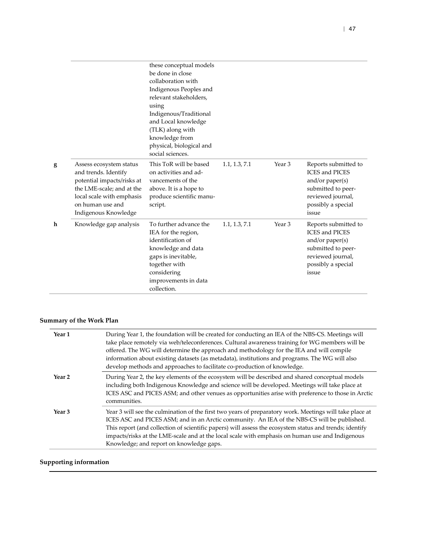|   |                                                                                                                                                                                     | these conceptual models<br>be done in close<br>collaboration with<br>Indigenous Peoples and<br>relevant stakeholders,<br>using<br>Indigenous/Traditional<br>and Local knowledge<br>(TLK) along with<br>knowledge from<br>physical, biological and<br>social sciences. |               |        |                                                                                                                                              |
|---|-------------------------------------------------------------------------------------------------------------------------------------------------------------------------------------|-----------------------------------------------------------------------------------------------------------------------------------------------------------------------------------------------------------------------------------------------------------------------|---------------|--------|----------------------------------------------------------------------------------------------------------------------------------------------|
| g | Assess ecosystem status<br>and trends. Identify<br>potential impacts/risks at<br>the LME-scale; and at the<br>local scale with emphasis<br>on human use and<br>Indigenous Knowledge | This ToR will be based<br>on activities and ad-<br>vancements of the<br>above. It is a hope to<br>produce scientific manu-<br>script.                                                                                                                                 | 1.1, 1.3, 7.1 | Year 3 | Reports submitted to<br><b>ICES</b> and PICES<br>and/or $paper(s)$<br>submitted to peer-<br>reviewed journal,<br>possibly a special<br>issue |
| h | Knowledge gap analysis                                                                                                                                                              | To further advance the<br>IEA for the region,<br>identification of<br>knowledge and data<br>gaps is inevitable,<br>together with<br>considering<br>improvements in data<br>collection.                                                                                | 1.1, 1.3, 7.1 | Year 3 | Reports submitted to<br><b>ICES</b> and PICES<br>and/or $paper(s)$<br>submitted to peer-<br>reviewed journal,<br>possibly a special<br>issue |

| Year 1            | During Year 1, the foundation will be created for conducting an IEA of the NBS-CS. Meetings will<br>take place remotely via web/teleconferences. Cultural awareness training for WG members will be<br>offered. The WG will determine the approach and methodology for the IEA and will compile<br>information about existing datasets (as metadata), institutions and programs. The WG will also<br>develop methods and approaches to facilitate co-production of knowledge. |
|-------------------|-------------------------------------------------------------------------------------------------------------------------------------------------------------------------------------------------------------------------------------------------------------------------------------------------------------------------------------------------------------------------------------------------------------------------------------------------------------------------------|
| Year <sub>2</sub> | During Year 2, the key elements of the ecosystem will be described and shared conceptual models<br>including both Indigenous Knowledge and science will be developed. Meetings will take place at<br>ICES ASC and PICES ASM; and other venues as opportunities arise with preference to those in Arctic<br>communities.                                                                                                                                                       |
| Year <sub>3</sub> | Year 3 will see the culmination of the first two years of preparatory work. Meetings will take place at<br>ICES ASC and PICES ASM; and in an Arctic community. An IEA of the NBS-CS will be published.<br>This report (and collection of scientific papers) will assess the ecosystem status and trends; identify<br>impacts/risks at the LME-scale and at the local scale with emphasis on human use and Indigenous<br>Knowledge; and report on knowledge gaps.              |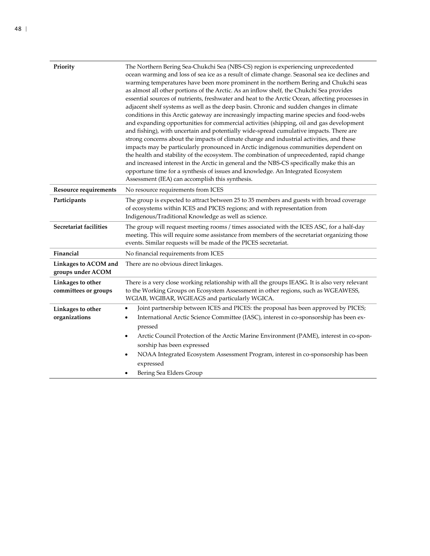| Priority                                  | The Northern Bering Sea-Chukchi Sea (NBS-CS) region is experiencing unprecedented<br>ocean warming and loss of sea ice as a result of climate change. Seasonal sea ice declines and<br>warming temperatures have been more prominent in the northern Bering and Chukchi seas<br>as almost all other portions of the Arctic. As an inflow shelf, the Chukchi Sea provides<br>essential sources of nutrients, freshwater and heat to the Arctic Ocean, affecting processes in<br>adjacent shelf systems as well as the deep basin. Chronic and sudden changes in climate<br>conditions in this Arctic gateway are increasingly impacting marine species and food-webs<br>and expanding opportunities for commercial activities (shipping, oil and gas development<br>and fishing), with uncertain and potentially wide-spread cumulative impacts. There are<br>strong concerns about the impacts of climate change and industrial activities, and these<br>impacts may be particularly pronounced in Arctic indigenous communities dependent on<br>the health and stability of the ecosystem. The combination of unprecedented, rapid change<br>and increased interest in the Arctic in general and the NBS-CS specifically make this an<br>opportune time for a synthesis of issues and knowledge. An Integrated Ecosystem<br>Assessment (IEA) can accomplish this synthesis. |
|-------------------------------------------|------------------------------------------------------------------------------------------------------------------------------------------------------------------------------------------------------------------------------------------------------------------------------------------------------------------------------------------------------------------------------------------------------------------------------------------------------------------------------------------------------------------------------------------------------------------------------------------------------------------------------------------------------------------------------------------------------------------------------------------------------------------------------------------------------------------------------------------------------------------------------------------------------------------------------------------------------------------------------------------------------------------------------------------------------------------------------------------------------------------------------------------------------------------------------------------------------------------------------------------------------------------------------------------------------------------------------------------------------------------------------|
| <b>Resource requirements</b>              | No resource requirements from ICES                                                                                                                                                                                                                                                                                                                                                                                                                                                                                                                                                                                                                                                                                                                                                                                                                                                                                                                                                                                                                                                                                                                                                                                                                                                                                                                                           |
| Participants                              | The group is expected to attract between 25 to 35 members and guests with broad coverage<br>of ecosystems within ICES and PICES regions; and with representation from<br>Indigenous/Traditional Knowledge as well as science.                                                                                                                                                                                                                                                                                                                                                                                                                                                                                                                                                                                                                                                                                                                                                                                                                                                                                                                                                                                                                                                                                                                                                |
| Secretariat facilities                    | The group will request meeting rooms / times associated with the ICES ASC, for a half-day<br>meeting. This will require some assistance from members of the secretariat organizing those<br>events. Similar requests will be made of the PICES secretariat.                                                                                                                                                                                                                                                                                                                                                                                                                                                                                                                                                                                                                                                                                                                                                                                                                                                                                                                                                                                                                                                                                                                  |
| Financial                                 | No financial requirements from ICES                                                                                                                                                                                                                                                                                                                                                                                                                                                                                                                                                                                                                                                                                                                                                                                                                                                                                                                                                                                                                                                                                                                                                                                                                                                                                                                                          |
| Linkages to ACOM and<br>groups under ACOM | There are no obvious direct linkages.                                                                                                                                                                                                                                                                                                                                                                                                                                                                                                                                                                                                                                                                                                                                                                                                                                                                                                                                                                                                                                                                                                                                                                                                                                                                                                                                        |
| Linkages to other<br>committees or groups | There is a very close working relationship with all the groups IEASG. It is also very relevant<br>to the Working Groups on Ecosystem Assessment in other regions, such as WGEAWESS,<br>WGIAB, WGIBAR, WGIEAGS and particularly WGICA.                                                                                                                                                                                                                                                                                                                                                                                                                                                                                                                                                                                                                                                                                                                                                                                                                                                                                                                                                                                                                                                                                                                                        |
| Linkages to other<br>organizations        | Joint partnership between ICES and PICES: the proposal has been approved by PICES;<br>International Arctic Science Committee (IASC), interest in co-sponsorship has been ex-<br>pressed<br>Arctic Council Protection of the Arctic Marine Environment (PAME), interest in co-spon-<br>sorship has been expressed<br>NOAA Integrated Ecosystem Assessment Program, interest in co-sponsorship has been<br>expressed<br>Bering Sea Elders Group                                                                                                                                                                                                                                                                                                                                                                                                                                                                                                                                                                                                                                                                                                                                                                                                                                                                                                                                |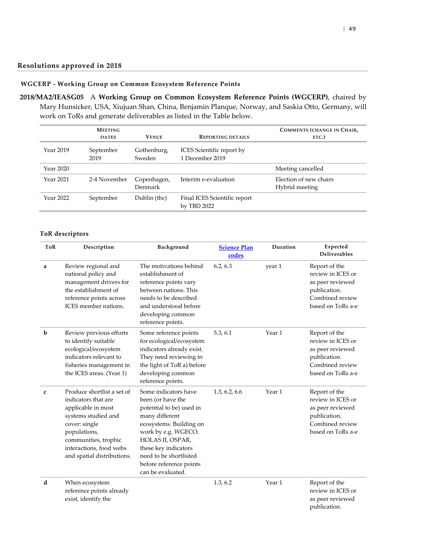#### **Resolutions approved in 2018**

### **WGCERP - Working Group on Common Ecosystem Reference Points**

<span id="page-48-1"></span><span id="page-48-0"></span>**2018/MA2/IEASG05** A **Working Group on Common Ecosystem Reference Points (WGCERP)**, chaired by Mary Hunsicker, USA, Xiujuan Shan, China, Benjamin Planque, Norway, and Saskia Otto, Germany, will work on ToRs and generate deliverables as listed in the Table below.

|           | <b>MEETING</b><br><b>DATES</b> | <b>VENUE</b>           | <b>REPORTING DETAILS</b>                     | <b>COMMENTS (CHANGE IN CHAIR,</b><br>ETC.) |
|-----------|--------------------------------|------------------------|----------------------------------------------|--------------------------------------------|
| Year 2019 | September<br>2019              | Gothenburg,<br>Sweden  | ICES Scientific report by<br>1 December 2019 |                                            |
| Year 2020 |                                |                        |                                              | Meeting cancelled                          |
| Year 2021 | 2-4 November                   | Copenhagen,<br>Denmark | Interim e-evaluation                         | Election of new chairs<br>Hybrid meeting   |
| Year 2022 | September                      | Dublin (tbc)           | Final ICES Scientific report<br>by TBD 2022  |                                            |

| <b>ToR</b> | Description                                                                                                                                                                                                      | Background                                                                                                                                                                                                                                                      |               | Duration | Expected<br><b>Deliverables</b>                                                                                |
|------------|------------------------------------------------------------------------------------------------------------------------------------------------------------------------------------------------------------------|-----------------------------------------------------------------------------------------------------------------------------------------------------------------------------------------------------------------------------------------------------------------|---------------|----------|----------------------------------------------------------------------------------------------------------------|
| a          | Review regional and<br>national policy and<br>management drivers for<br>the establishment of<br>reference points across<br>ICES member nations.                                                                  | The motivations behind<br>establishment of<br>reference points vary<br>between nations. This<br>needs to be described<br>and understood before<br>developing common<br>reference points.                                                                        | 6.2, 6.3      | year 1   | Report of the<br>review in ICES or<br>as peer reviewed<br>publication.<br>Combined review<br>based on ToRs a-e |
| b          | Review previous efforts<br>to identify suitable<br>ecological/ecosystem<br>indicators relevant to<br>fisheries management in<br>the ICES areas. (Year 1)                                                         | Some reference points<br>for ecological/ecosystem<br>indicators already exist.<br>They need reviewing in<br>the light of ToR a) before<br>developing common<br>reference points.                                                                                | 5.3, 6.1      | Year 1   | Report of the<br>review in ICES or<br>as peer reviewed<br>publication.<br>Combined review<br>based on ToRs a-e |
| c          | Produce shortlist a set of<br>indicators that are<br>applicable in most<br>systems studied and<br>cover: single<br>populations,<br>communities, trophic<br>interactions, food webs<br>and spatial distributions. | Some indicators have<br>been (or have the<br>potential to be) used in<br>many different<br>ecosystems. Building on<br>work by e.g. WGECO,<br>HOLAS II, OSPAR,<br>these key indicators<br>need to be shortlisted<br>before reference points<br>can be evaluated. | 1.3, 6.2, 6.6 | Year 1   | Report of the<br>review in ICES or<br>as peer reviewed<br>publication.<br>Combined review<br>based on ToRs a-e |
| d          | When ecosystem<br>reference points already<br>exist, identify the                                                                                                                                                |                                                                                                                                                                                                                                                                 | 1.3, 6.2      | Year 1   | Report of the<br>review in ICES or<br>as peer reviewed<br>publication.                                         |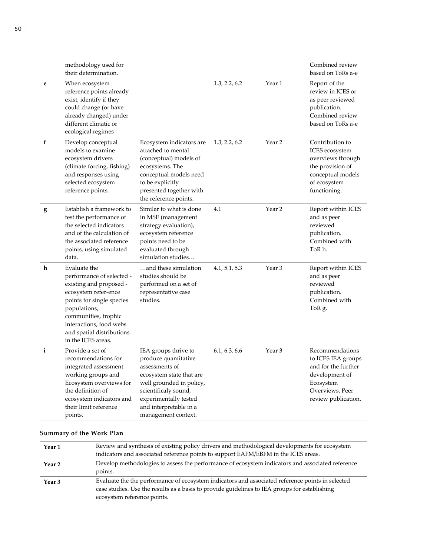|              | methodology used for<br>their determination.                                                                                                                                                                                                    |                                                                                                                                                                                                                          |               |                   | Combined review<br>based on ToRs a-e                                                                                                  |
|--------------|-------------------------------------------------------------------------------------------------------------------------------------------------------------------------------------------------------------------------------------------------|--------------------------------------------------------------------------------------------------------------------------------------------------------------------------------------------------------------------------|---------------|-------------------|---------------------------------------------------------------------------------------------------------------------------------------|
| e            | When ecosystem<br>reference points already<br>exist, identify if they<br>could change (or have<br>already changed) under<br>different climatic or<br>ecological regimes                                                                         |                                                                                                                                                                                                                          | 1.3, 2.2, 6.2 | Year 1            | Report of the<br>review in ICES or<br>as peer reviewed<br>publication.<br>Combined review<br>based on ToRs a-e                        |
| f            | Develop conceptual<br>models to examine<br>ecosystem drivers<br>(climate forcing, fishing)<br>and responses using<br>selected ecosystem<br>reference points.                                                                                    | Ecosystem indicators are<br>attached to mental<br>(conceptual) models of<br>ecosystems. The<br>conceptual models need<br>to be explicitly<br>presented together with<br>the reference points.                            | 1.3, 2.2, 6.2 | Year 2            | Contribution to<br>ICES ecosystem<br>overviews through<br>the provision of<br>conceptual models<br>of ecosystem<br>functioning.       |
| g            | Establish a framework to<br>test the performance of<br>the selected indicators<br>and of the calculation of<br>the associated reference<br>points, using simulated<br>data.                                                                     | Similar to what is done<br>in MSE (management<br>strategy evaluation),<br>ecosystem reference<br>points need to be<br>evaluated through<br>simulation studies                                                            | 4.1           | Year 2            | Report within ICES<br>and as peer<br>reviewed<br>publication.<br>Combined with<br>ToR h.                                              |
| h            | Evaluate the<br>performance of selected -<br>existing and proposed -<br>ecosystem refer-ence<br>points for single species<br>populations,<br>communities, trophic<br>interactions, food webs<br>and spatial distributions<br>in the ICES areas. | and these simulation<br>studies should be<br>performed on a set of<br>representative case<br>studies.                                                                                                                    | 4.1, 5.1, 5.3 | Year 3            | Report within ICES<br>and as peer<br>reviewed<br>publication.<br>Combined with<br>ToR g.                                              |
| $\mathbf{i}$ | Provide a set of<br>recommendations for<br>integrated assessment<br>working groups and<br>Ecosystem overviews for<br>the definition of<br>ecosystem indicators and<br>their limit reference<br>points.                                          | IEA groups thrive to<br>produce quantitative<br>assessments of<br>ecosystem state that are<br>well grounded in policy,<br>scientificaly sound,<br>experimentally tested<br>and interpretable in a<br>management context. | 6.1, 6.3, 6.6 | Year <sub>3</sub> | Recommendations<br>to ICES IEA groups<br>and for the further<br>development of<br>Ecosystem<br>Overviews. Peer<br>review publication. |

| Year 1            | Review and synthesis of existing policy drivers and methodological developments for ecosystem<br>indicators and associated reference points to support EAFM/EBFM in the ICES areas.                                              |
|-------------------|----------------------------------------------------------------------------------------------------------------------------------------------------------------------------------------------------------------------------------|
| Year <sub>2</sub> | Develop methodologies to assess the performance of ecosystem indicators and associated reference<br>points.                                                                                                                      |
| Year <sub>3</sub> | Evaluate the the performance of ecosystem indicators and associated reference points in selected<br>case studies. Use the results as a basis to provide guidelines to IEA groups for establishing<br>ecosystem reference points. |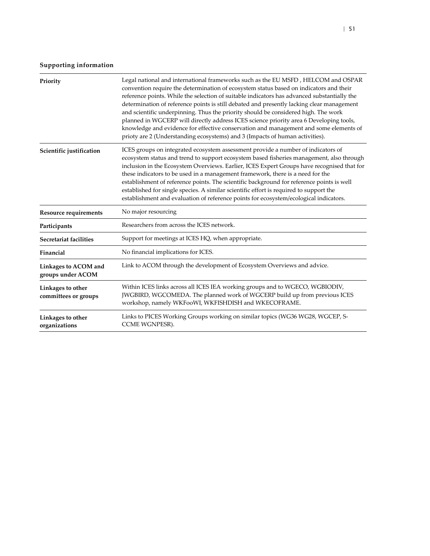| Priority                                  | Legal national and international frameworks such as the EU MSFD, HELCOM and OSPAR<br>convention require the determination of ecosystem status based on indicators and their<br>reference points. While the selection of suitable indicators has advanced substantially the<br>determination of reference points is still debated and presently lacking clear management<br>and scientific underpinning. Thus the priority should be considered high. The work<br>planned in WGCERP will directly address ICES science priority area 6 Developing tools,<br>knowledge and evidence for effective conservation and management and some elements of<br>prioty are 2 (Understanding ecosystems) and 3 (Impacts of human activities). |
|-------------------------------------------|----------------------------------------------------------------------------------------------------------------------------------------------------------------------------------------------------------------------------------------------------------------------------------------------------------------------------------------------------------------------------------------------------------------------------------------------------------------------------------------------------------------------------------------------------------------------------------------------------------------------------------------------------------------------------------------------------------------------------------|
| Scientific justification                  | ICES groups on integrated ecosystem assessment provide a number of indicators of<br>ecosystem status and trend to support ecosystem based fisheries management, also through<br>inclusion in the Ecosystem Overviews. Earlier, ICES Expert Groups have recognised that for<br>these indicators to be used in a management framework, there is a need for the<br>establishment of reference points. The scientific background for reference points is well<br>established for single species. A similar scientific effort is required to support the<br>establishment and evaluation of reference points for ecosystem/ecological indicators.                                                                                     |
| Resource requirements                     | No major resourcing                                                                                                                                                                                                                                                                                                                                                                                                                                                                                                                                                                                                                                                                                                              |
| Participants                              | Researchers from across the ICES network.                                                                                                                                                                                                                                                                                                                                                                                                                                                                                                                                                                                                                                                                                        |
| Secretariat facilities                    | Support for meetings at ICES HQ, when appropriate.                                                                                                                                                                                                                                                                                                                                                                                                                                                                                                                                                                                                                                                                               |
| Financial                                 | No financial implications for ICES.                                                                                                                                                                                                                                                                                                                                                                                                                                                                                                                                                                                                                                                                                              |
| Linkages to ACOM and<br>groups under ACOM | Link to ACOM through the development of Ecosystem Overviews and advice.                                                                                                                                                                                                                                                                                                                                                                                                                                                                                                                                                                                                                                                          |
| Linkages to other<br>committees or groups | Within ICES links across all ICES IEA working groups and to WGECO, WGBIODIV,<br>JWGBIRD, WGCOMEDA. The planned work of WGCERP build up from previous ICES<br>workshop, namely WKFooWI, WKFISHDISH and WKECOFRAME.                                                                                                                                                                                                                                                                                                                                                                                                                                                                                                                |
| Linkages to other<br>organizations        | Links to PICES Working Groups working on similar topics (WG36 WG28, WGCEP, S-<br>CCME WGNPESR).                                                                                                                                                                                                                                                                                                                                                                                                                                                                                                                                                                                                                                  |